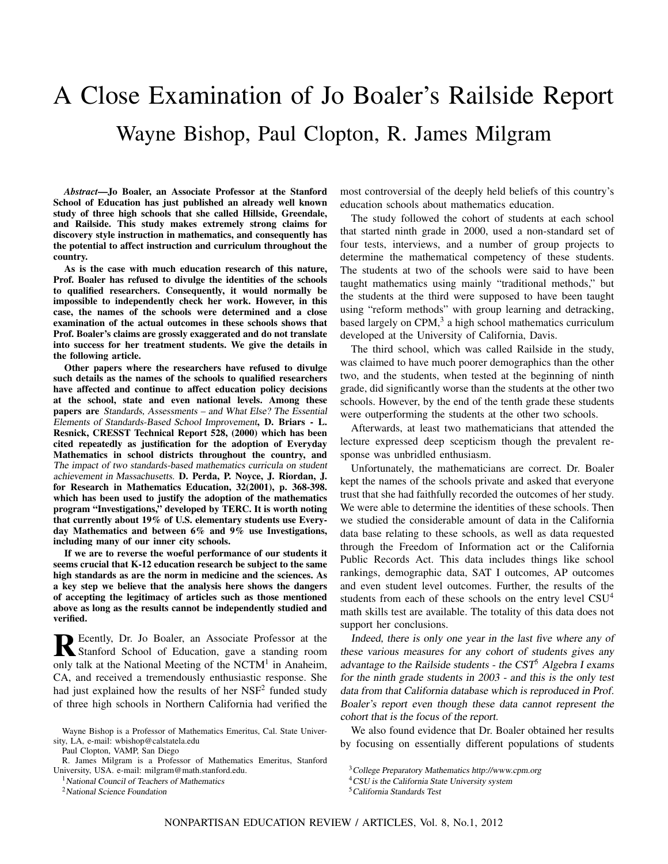# A Close Examination of Jo Boaler's Railside Report Wayne Bishop, Paul Clopton, R. James Milgram

*Abstract*—Jo Boaler, an Associate Professor at the Stanford School of Education has just published an already well known study of three high schools that she called Hillside, Greendale, and Railside. This study makes extremely strong claims for discovery style instruction in mathematics, and consequently has the potential to affect instruction and curriculum throughout the country.

As is the case with much education research of this nature, Prof. Boaler has refused to divulge the identities of the schools to qualified researchers. Consequently, it would normally be impossible to independently check her work. However, in this case, the names of the schools were determined and a close examination of the actual outcomes in these schools shows that Prof. Boaler's claims are grossly exaggerated and do not translate into success for her treatment students. We give the details in the following article.

Other papers where the researchers have refused to divulge such details as the names of the schools to qualified researchers have affected and continue to affect education policy decisions at the school, state and even national levels. Among these papers are Standards, Assessments – and What Else? The Essential Elements of Standards-Based School Improvement, D. Briars - L. Resnick, CRESST Technical Report 528, (2000) which has been cited repeatedly as justification for the adoption of Everyday Mathematics in school districts throughout the country, and The impact of two standards-based mathematics curricula on student achievement in Massachusetts. D. Perda, P. Noyce, J. Riordan, J. for Research in Mathematics Education, 32(2001), p. 368-398. which has been used to justify the adoption of the mathematics program "Investigations," developed by TERC. It is worth noting that currently about 19% of U.S. elementary students use Everyday Mathematics and between 6% and 9% use Investigations, including many of our inner city schools.

If we are to reverse the woeful performance of our students it seems crucial that K-12 education research be subject to the same high standards as are the norm in medicine and the sciences. As a key step we believe that the analysis here shows the dangers of accepting the legitimacy of articles such as those mentioned above as long as the results cannot be independently studied and verified.

R Ecently, Dr. Jo Boaler, an Associate Professor at the Stanford School of Education, gave a standing room Stanford School of Education, gave a standing room only talk at the National Meeting of the NCTM<sup>1</sup> in Anaheim, CA, and received a tremendously enthusiastic response. She had just explained how the results of her NSF<sup>2</sup> funded study of three high schools in Northern California had verified the

Paul Clopton, VAMP, San Diego

<sup>2</sup>National Science Foundation

most controversial of the deeply held beliefs of this country's education schools about mathematics education.

The study followed the cohort of students at each school that started ninth grade in 2000, used a non-standard set of four tests, interviews, and a number of group projects to determine the mathematical competency of these students. The students at two of the schools were said to have been taught mathematics using mainly "traditional methods," but the students at the third were supposed to have been taught using "reform methods" with group learning and detracking, based largely on CPM,<sup>3</sup> a high school mathematics curriculum developed at the University of California, Davis.

The third school, which was called Railside in the study, was claimed to have much poorer demographics than the other two, and the students, when tested at the beginning of ninth grade, did significantly worse than the students at the other two schools. However, by the end of the tenth grade these students were outperforming the students at the other two schools.

Afterwards, at least two mathematicians that attended the lecture expressed deep scepticism though the prevalent response was unbridled enthusiasm.

Unfortunately, the mathematicians are correct. Dr. Boaler kept the names of the schools private and asked that everyone trust that she had faithfully recorded the outcomes of her study. We were able to determine the identities of these schools. Then we studied the considerable amount of data in the California data base relating to these schools, as well as data requested through the Freedom of Information act or the California Public Records Act. This data includes things like school rankings, demographic data, SAT I outcomes, AP outcomes and even student level outcomes. Further, the results of the students from each of these schools on the entry level CSU<sup>4</sup> math skills test are available. The totality of this data does not support her conclusions.

Indeed, there is only one year in the last five where any of these various measures for any cohort of students gives any advantage to the Railside students - the  $\text{CST}^5$  Algebra I exams for the ninth grade students in <sup>2003</sup> - and this is the only test data from that California database which is reproduced in Prof. Boaler's report even though these data cannot represent the cohort that is the focus of the report.

We also found evidence that Dr. Boaler obtained her results by focusing on essentially different populations of students

Wayne Bishop is a Professor of Mathematics Emeritus, Cal. State University, LA, e-mail: wbishop@calstatela.edu

R. James Milgram is a Professor of Mathematics Emeritus, Stanford University, USA. e-mail: milgram@math.stanford.edu.

<sup>&</sup>lt;sup>1</sup> National Council of Teachers of Mathematics

<sup>3</sup>College Preparatory Mathematics http://www.cpm.org

<sup>&</sup>lt;sup>4</sup>CSU is the California State University system

<sup>5</sup>California Standards Test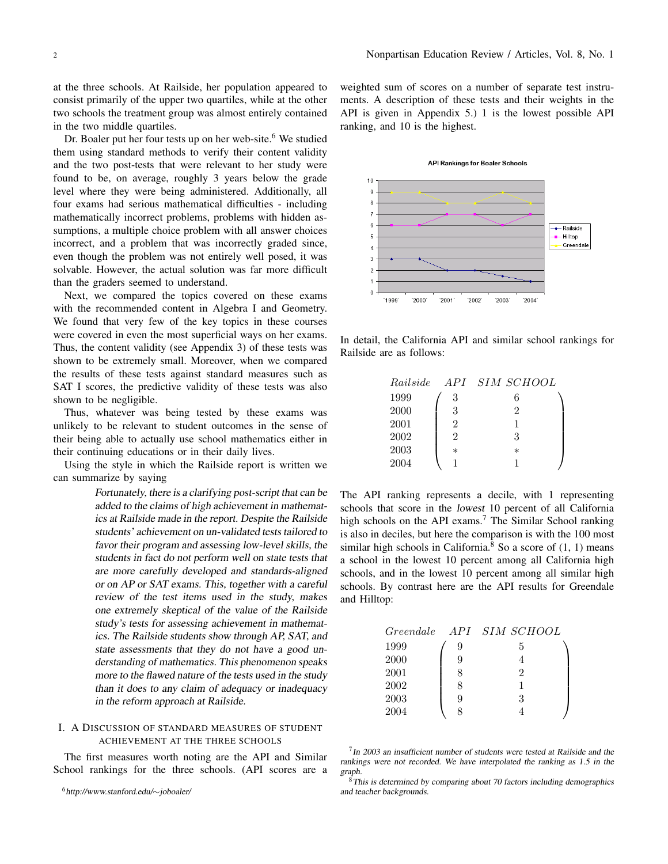at the three schools. At Railside, her population appeared to consist primarily of the upper two quartiles, while at the other two schools the treatment group was almost entirely contained in the two middle quartiles.

Dr. Boaler put her four tests up on her web-site.<sup>6</sup> We studied them using standard methods to verify their content validity and the two post-tests that were relevant to her study were found to be, on average, roughly 3 years below the grade level where they were being administered. Additionally, all four exams had serious mathematical difficulties - including mathematically incorrect problems, problems with hidden assumptions, a multiple choice problem with all answer choices incorrect, and a problem that was incorrectly graded since, even though the problem was not entirely well posed, it was solvable. However, the actual solution was far more difficult than the graders seemed to understand.

Next, we compared the topics covered on these exams with the recommended content in Algebra I and Geometry. We found that very few of the key topics in these courses were covered in even the most superficial ways on her exams. Thus, the content validity (see Appendix 3) of these tests was shown to be extremely small. Moreover, when we compared the results of these tests against standard measures such as SAT I scores, the predictive validity of these tests was also shown to be negligible.

Thus, whatever was being tested by these exams was unlikely to be relevant to student outcomes in the sense of their being able to actually use school mathematics either in their continuing educations or in their daily lives.

Using the style in which the Railside report is written we can summarize by saying

> Fortunately, there is <sup>a</sup> clarifying post-script that can be added to the claims of high achievement in mathematics at Railside made in the report. Despite the Railside students' achievement on un-validated tests tailored to favor their program and assessing low-level skills, the students in fact do not perform well on state tests that are more carefully developed and standards-aligned or on AP or SAT exams. This, together with <sup>a</sup> careful review of the test items used in the study, makes one extremely skeptical of the value of the Railside study's tests for assessing achievement in mathematics. The Railside students show through AP, SAT, and state assessments that they do not have a good understanding of mathematics. This phenomenon speaks more to the flawed nature of the tests used in the study than it does to any claim of adequacy or inadequacy in the reform approach at Railside.

## I. A DISCUSSION OF STANDARD MEASURES OF STUDENT ACHIEVEMENT AT THE THREE SCHOOLS

The first measures worth noting are the API and Similar School rankings for the three schools. (API scores are a weighted sum of scores on a number of separate test instruments. A description of these tests and their weights in the API is given in Appendix 5.) 1 is the lowest possible API ranking, and 10 is the highest.



In detail, the California API and similar school rankings for Railside are as follows:

| Railside |                             | <i>API SIM SCHOOL</i> |  |
|----------|-----------------------------|-----------------------|--|
| 1999     | 3                           | 6                     |  |
| 2000     | 3                           | 2                     |  |
| 2001     | $\mathfrak{D}$              |                       |  |
| 2002     | $\mathcal{D}_{\mathcal{L}}$ | 3                     |  |
| 2003     | $\ast$                      | $\ast$                |  |
| 2004     |                             |                       |  |

The API ranking represents a decile, with 1 representing schools that score in the lowest 10 percent of all California high schools on the API exams.<sup>7</sup> The Similar School ranking is also in deciles, but here the comparison is with the 100 most similar high schools in California.<sup>8</sup> So a score of  $(1, 1)$  means a school in the lowest 10 percent among all California high schools, and in the lowest 10 percent among all similar high schools. By contrast here are the API results for Greendale and Hilltop:

|      |   | Greendale API SIM SCHOOL    |  |
|------|---|-----------------------------|--|
| 1999 | 9 | 5                           |  |
| 2000 | 9 |                             |  |
| 2001 | 8 | $\mathcal{D}_{\mathcal{L}}$ |  |
| 2002 | 8 |                             |  |
| 2003 | 9 | З                           |  |
| 2004 |   |                             |  |

 $7$  In 2003 an insufficient number of students were tested at Railside and the rankings were not recorded. We have interpolated the ranking as 1.5 in the graph.

<sup>6</sup>http://www.stanford.edu/*∼*joboaler/

<sup>&</sup>lt;sup>8</sup>This is determined by comparing about 70 factors including demographics and teacher backgrounds.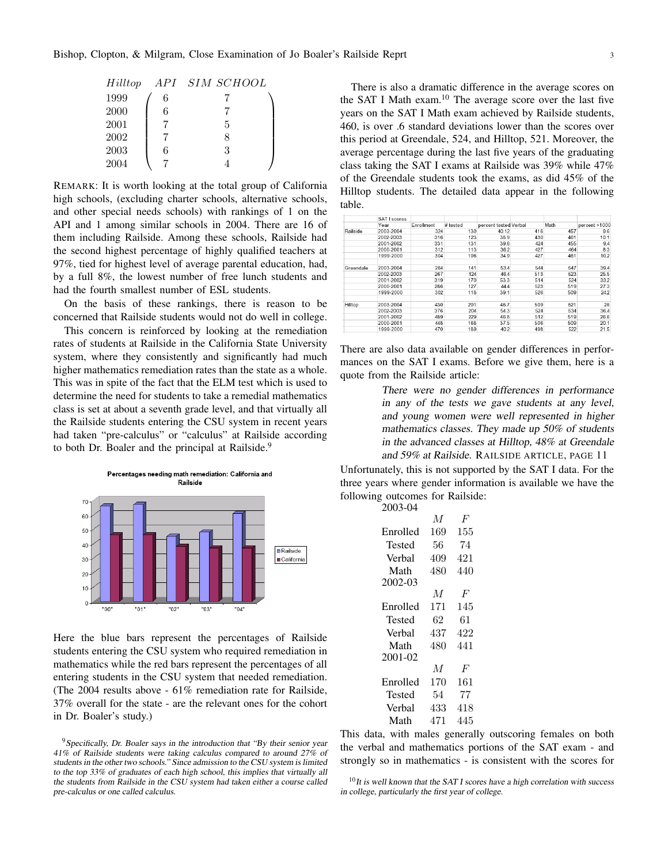| Hilltop |   | API SIM SCHOOL |
|---------|---|----------------|
| 1999    | 6 |                |
| 2000    | 6 |                |
| 2001    |   | 5              |
| 2002    |   | 8              |
| 2003    | 6 | 3              |
| 2004    |   |                |

REMARK: It is worth looking at the total group of California high schools, (excluding charter schools, alternative schools, and other special needs schools) with rankings of 1 on the API and 1 among similar schools in 2004. There are 16 of them including Railside. Among these schools, Railside had the second highest percentage of highly qualified teachers at 97%, tied for highest level of average parental education, had, by a full 8%, the lowest number of free lunch students and had the fourth smallest number of ESL students.

On the basis of these rankings, there is reason to be concerned that Railside students would not do well in college.

This concern is reinforced by looking at the remediation rates of students at Railside in the California State University system, where they consistently and significantly had much higher mathematics remediation rates than the state as a whole. This was in spite of the fact that the ELM test which is used to determine the need for students to take a remedial mathematics class is set at about a seventh grade level, and that virtually all the Railside students entering the CSU system in recent years had taken "pre-calculus" or "calculus" at Railside according to both Dr. Boaler and the principal at Railside.<sup>9</sup>



Here the blue bars represent the percentages of Railside students entering the CSU system who required remediation in mathematics while the red bars represent the percentages of all entering students in the CSU system that needed remediation. (The 2004 results above - 61% remediation rate for Railside, 37% overall for the state - are the relevant ones for the cohort in Dr. Boaler's study.)

There is also a dramatic difference in the average scores on the SAT I Math exam.<sup>10</sup> The average score over the last five years on the SAT I Math exam achieved by Railside students, 460, is over .6 standard deviations lower than the scores over this period at Greendale, 524, and Hilltop, 521. Moreover, the average percentage during the last five years of the graduating class taking the SAT I exams at Railside was 39% while 47% of the Greendale students took the exams, as did 45% of the Hilltop students. The detailed data appear in the following table.

|           | SAT I scores |            |          |                       |     |      |               |
|-----------|--------------|------------|----------|-----------------------|-----|------|---------------|
|           | Year         | Enrollment | # tested | percent tested Verbal |     | Math | percent >1000 |
| Railside  | 2003-2004    | 324        | 130      | 40.12                 | 416 | 457  | 9.6           |
|           | 2002-2003    | 316        | 123      | 38.9                  | 430 | 461  | 10.1          |
|           | 2001-2002    | 331        | 131      | 39.6                  | 424 | 455  | 9.4           |
|           | 2000-2001    | 312        | 113      | 36.2                  | 427 | 464  | 8.3           |
|           | 1999-2000    | 304        | 106      | 34.9                  | 427 | 461  | 10.2          |
| Greendale | 2003-2004    | 264        | 141      | 53.4                  | 544 | 547  | 39.4          |
|           | 2002-2003    | 267        | 124      | 46.4                  | 513 | 523  | 25.5          |
|           | 2001-2002    | 319        | 170      | 53.3                  | 514 | 524  | 332           |
|           | 2000-2001    | 286        | 127      | 44.4                  | 523 | 519  | 27.3          |
|           | 1999-2000    | 302        | 118      | 39.1                  | 526 | 509  | 242           |
| Hilltop   | 2003-2004    | 430        | 201      | 46.7                  | 509 | 521  | 26            |
|           | 2002-2003    | 376        | 204      | 54.3                  | 524 | 534  | 36.4          |
|           | 2001-2002    | 489        | 229      | 46.8                  | 512 | 519  | 26.6          |
|           | 2000-2001    | 448        | 168      | 37.5                  | 506 | 509  | 20.1          |
|           | 1999-2000    | 470        | 189      | 40.2                  | 498 | 522  | 21.5          |

There are also data available on gender differences in performances on the SAT I exams. Before we give them, here is a quote from the Railside article:

> There were no gender differences in performance in any of the tests we gave students at any level, and young women were well represented in higher mathematics classes. They made up 50% of students in the advanced classes at Hilltop, 48% at Greendale and 59% at Railside. RAILSIDE ARTICLE, PAGE 11

Unfortunately, this is not supported by the SAT I data. For the three years where gender information is available we have the following outcomes for Railside: 2003-04

| 2003-04  |     |     |
|----------|-----|-----|
|          | М   | F   |
| Enrolled | 169 | 155 |
| Tested   | 56  | 74  |
| Verbal   | 409 | 421 |
| Math     | 480 | 440 |
| 2002-03  |     |     |
|          | М   | F   |
| Enrolled | 171 | 145 |
| Tested   | 62  | 61  |
| Verbal   | 437 | 422 |
| Math     | 480 | 441 |
| 2001-02  |     |     |
|          | M   | F   |
| Enrolled | 170 | 161 |
| Tested   | 54  | 77  |
| Verbal   | 433 | 418 |
| Math     | 471 | 445 |

This data, with males generally outscoring females on both the verbal and mathematics portions of the SAT exam - and strongly so in mathematics - is consistent with the scores for

 $9$  Specifically, Dr. Boaler says in the introduction that "By their senior year 41% of Railside students were taking calculus compared to around 27% of students in the other two schools." Since admission to the CSU system is limited to the top 33% of graduates of each high school, this implies that virtually all the students from Railside in the CSU system had taken either <sup>a</sup> course called pre-calculus or one called calculus.

 $10$ It is well known that the SAT I scores have a high correlation with success in college, particularly the first year of college.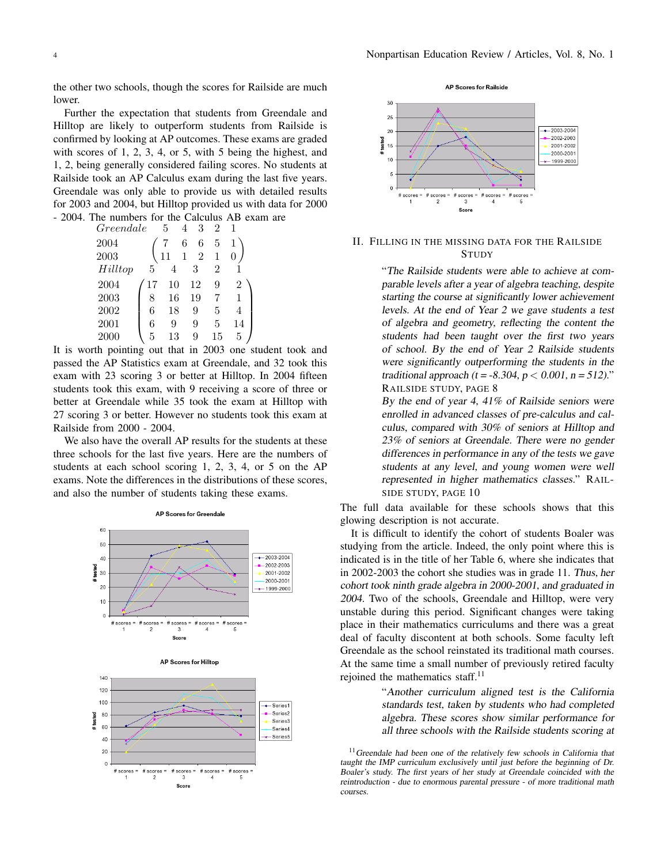the other two schools, though the scores for Railside are much lower.

Further the expectation that students from Greendale and Hilltop are likely to outperform students from Railside is confirmed by looking at AP outcomes. These exams are graded with scores of 1, 2, 3, 4, or 5, with 5 being the highest, and 1, 2, being generally considered failing scores. No students at Railside took an AP Calculus exam during the last five years. Greendale was only able to provide us with detailed results for 2003 and 2004, but Hilltop provided us with data for 2000 - 2004. The numbers for the Calculus AB exam are

| Greendale |    | 5  | 3<br>4         | $\overline{2}$ |                |
|-----------|----|----|----------------|----------------|----------------|
| 2004      |    |    | 6<br>6         | 5              |                |
| 2003      |    | 11 | $\overline{2}$ | 1              | 0              |
| Hilltop   | 5  | 4  | 3              | $\overline{2}$ |                |
| 2004      | 17 | 10 | 12             | 9              | $\overline{2}$ |
| 2003      | 8  | 16 | 19             |                |                |
| 2002      | 6  | 18 | 9              | 5              | 4              |
| 2001      | 6  | 9  | 9              | 5              | 14             |
| 2000      | 5  | 13 | 9              | 15             | 5              |

It is worth pointing out that in 2003 one student took and passed the AP Statistics exam at Greendale, and 32 took this exam with 23 scoring 3 or better at Hilltop. In 2004 fifteen students took this exam, with 9 receiving a score of three or better at Greendale while 35 took the exam at Hilltop with 27 scoring 3 or better. However no students took this exam at Railside from 2000 - 2004.

We also have the overall AP results for the students at these three schools for the last five years. Here are the numbers of students at each school scoring 1, 2, 3, 4, or 5 on the AP exams. Note the differences in the distributions of these scores, and also the number of students taking these exams.









## II. FILLING IN THE MISSING DATA FOR THE RAILSIDE **STUDY**

"The Railside students were able to achieve at comparable levels after <sup>a</sup> year of algebra teaching, despite starting the course at significantly lower achievement levels. At the end of Year <sup>2</sup> we gave students <sup>a</sup> test of algebra and geometry, reflecting the content the students had been taught over the first two years of school. By the end of Year <sup>2</sup> Railside students were significantly outperforming the students in the traditional approach ( $t = -8.304$ ,  $p < 0.001$ ,  $n = 512$ )." RAILSIDE STUDY, PAGE 8

By the end of year 4, 41% of Railside seniors were enrolled in advanced classes of pre-calculus and calculus, compared with 30% of seniors at Hilltop and 23% of seniors at Greendale. There were no gender differences in performance in any of the tests we gave students at any level, and young women were well represented in higher mathematics classes." RAIL-SIDE STUDY, PAGE 10

The full data available for these schools shows that this glowing description is not accurate.

It is difficult to identify the cohort of students Boaler was studying from the article. Indeed, the only point where this is indicated is in the title of her Table 6, where she indicates that in 2002-2003 the cohort she studies was in grade 11. Thus, her cohort took ninth grade algebra in 2000-2001, and graduated in 2004. Two of the schools, Greendale and Hilltop, were very unstable during this period. Significant changes were taking place in their mathematics curriculums and there was a great deal of faculty discontent at both schools. Some faculty left Greendale as the school reinstated its traditional math courses. At the same time a small number of previously retired faculty rejoined the mathematics staff.<sup>11</sup>

> "Another curriculum aligned test is the California standards test, taken by students who had completed algebra. These scores show similar performance for all three schools with the Railside students scoring at

<sup>&</sup>lt;sup>11</sup> Greendale had been one of the relatively few schools in California that taught the IMP curriculum exclusively until just before the beginning of Dr. Boaler's study. The first years of her study at Greendale coincided with the reintroduction - due to enormous parental pressure - of more traditional math courses.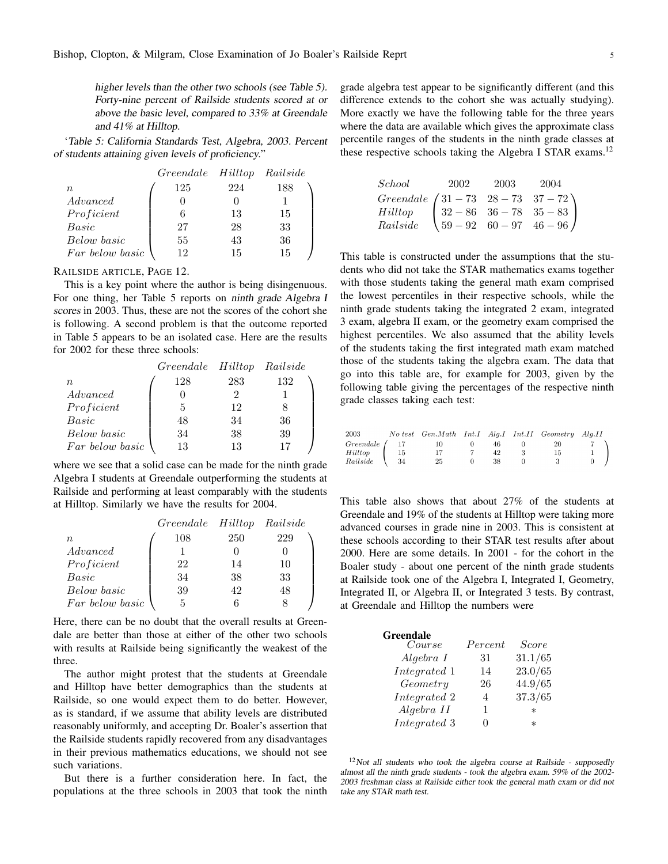higher levels than the other two schools (see Table 5). Forty-nine percent of Railside students scored at or above the basic level, compared to 33% at Greendale and 41% at Hilltop.

'Table 5: California Standards Test, Algebra, 2003. Percent of students attaining given levels of proficiency."

|                 | Greendale Hilltop Railside |     |     |
|-----------------|----------------------------|-----|-----|
| n               | 125                        | 224 | 188 |
| Advanced        |                            |     |     |
| Proficient      |                            | 13  | 15  |
| Basic           | 27                         | 28  | 33  |
| Below basic     | 55                         | 43  | 36  |
| Far below basic | 19                         | 15  | 15  |

RAILSIDE ARTICLE, PAGE 12.

This is a key point where the author is being disingenuous. For one thing, her Table 5 reports on ninth grade Algebra <sup>I</sup> scores in 2003. Thus, these are not the scores of the cohort she is following. A second problem is that the outcome reported in Table 5 appears to be an isolated case. Here are the results for 2002 for these three schools:

|                 | Greendale Hilltop Railside |     |     |
|-----------------|----------------------------|-----|-----|
| n               | 128                        | 283 | 132 |
| Advanced        |                            |     |     |
| Proficient      | 5                          | 12  |     |
| Basic           | 48                         | 34  | 36  |
| Below basic     | 34                         | 38  | 39  |
| Far below basic | 13                         | 13  |     |

where we see that a solid case can be made for the ninth grade Algebra I students at Greendale outperforming the students at Railside and performing at least comparably with the students at Hilltop. Similarly we have the results for 2004.

|                  | Greendale Hilltop Railside |     |     |
|------------------|----------------------------|-----|-----|
| $\boldsymbol{n}$ | 108                        | 250 | 229 |
| Advanced         |                            |     |     |
| Proficient       | 22                         | 14  | 10  |
| Basic            | 34                         | 38  | 33  |
| Below basic      | 39                         | 42  | 48  |
| Far below basic  |                            |     |     |

Here, there can be no doubt that the overall results at Greendale are better than those at either of the other two schools with results at Railside being significantly the weakest of the three.

The author might protest that the students at Greendale and Hilltop have better demographics than the students at Railside, so one would expect them to do better. However, as is standard, if we assume that ability levels are distributed reasonably uniformly, and accepting Dr. Boaler's assertion that the Railside students rapidly recovered from any disadvantages in their previous mathematics educations, we should not see such variations.

But there is a further consideration here. In fact, the populations at the three schools in 2003 that took the ninth

grade algebra test appear to be significantly different (and this difference extends to the cohort she was actually studying). More exactly we have the following table for the three years where the data are available which gives the approximate class percentile ranges of the students in the ninth grade classes at these respective schools taking the Algebra I STAR exams.<sup>12</sup>

| School                                                                                                                                                             | 2002 2003 2004 |  |
|--------------------------------------------------------------------------------------------------------------------------------------------------------------------|----------------|--|
| $\left.\begin{array}{l} \textit{Greendale} \begin{pmatrix} 31-73 & 28-73 & 37-72\\ 32-86 & 36-78 & 35-83\\ 59-92 & 60-97 & 46-96 \end{pmatrix} \end{array}\right.$ |                |  |
|                                                                                                                                                                    |                |  |
|                                                                                                                                                                    |                |  |

This table is constructed under the assumptions that the students who did not take the STAR mathematics exams together with those students taking the general math exam comprised the lowest percentiles in their respective schools, while the ninth grade students taking the integrated 2 exam, integrated 3 exam, algebra II exam, or the geometry exam comprised the highest percentiles. We also assumed that the ability levels of the students taking the first integrated math exam matched those of the students taking the algebra exam. The data that go into this table are, for example for 2003, given by the following table giving the percentages of the respective ninth grade classes taking each test:

|                    |      | 2003 No test Gen. Math Int. I Alg. I Int. II Geometry Alg. II |          |    |    |                                                          |
|--------------------|------|---------------------------------------------------------------|----------|----|----|----------------------------------------------------------|
| $Greendale$ $/$ 17 |      | 10                                                            | $\Omega$ | 46 | 20 |                                                          |
| Hilltop            | - 15 | 17                                                            |          | 42 | 15 | $\left(\begin{array}{cc} 7 \\ 1 \\ 0 \end{array}\right)$ |
| Railside \ 34      |      | 25                                                            |          | 38 |    |                                                          |

This table also shows that about 27% of the students at Greendale and 19% of the students at Hilltop were taking more advanced courses in grade nine in 2003. This is consistent at these schools according to their STAR test results after about 2000. Here are some details. In 2001 - for the cohort in the Boaler study - about one percent of the ninth grade students at Railside took one of the Algebra I, Integrated I, Geometry, Integrated II, or Algebra II, or Integrated 3 tests. By contrast, at Greendale and Hilltop the numbers were

| <b>Greendale</b><br>Course | Percent | <i>Score</i> |
|----------------------------|---------|--------------|
| Algebra I                  | 31      | 31.1/65      |
| Integrated 1               | 14      | 23.0/65      |
| Geometry                   | 26      | 44.9/65      |
| Integrated 2               | 4       | 37.3/65      |
| Algebra II                 | 1       | $^\ast$      |
| Integrated 3               |         | $^\ast$      |

 $12$ Not all students who took the algebra course at Railside - supposedly almost all the ninth grade students - took the algebra exam. 59% of the 2002- <sup>2003</sup> freshman class at Railside either took the general math exam or did not take any STAR math test.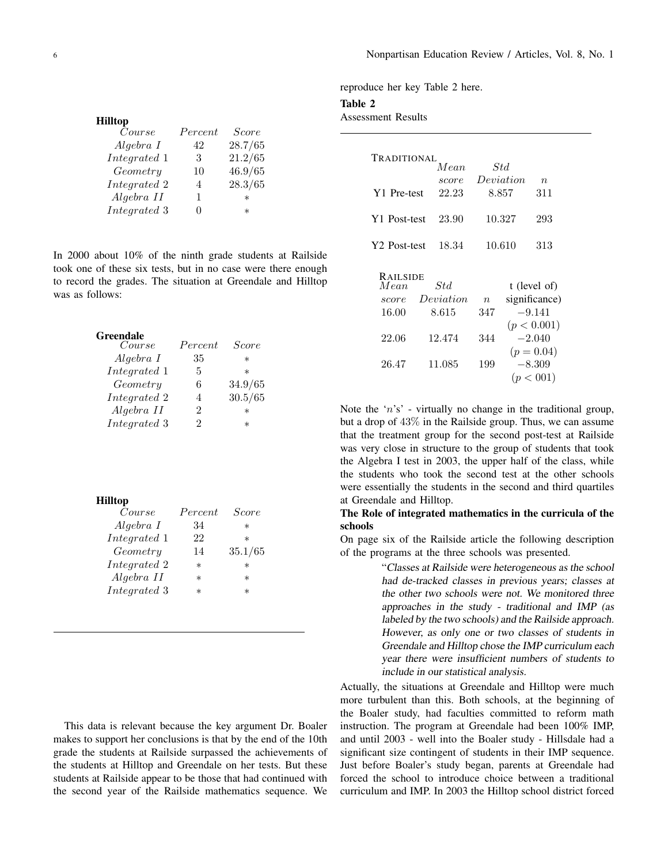reproduce her key Table 2 here.

Table 2

# Assessment Results

| <b>TRADITIONAL</b>       | Mean.     |        | Std       |                  |
|--------------------------|-----------|--------|-----------|------------------|
|                          | score     |        | Deviation | $\boldsymbol{n}$ |
| Y1 Pre-test              | 22.23     |        | 8.857     | 311              |
| Y1 Post-test             | 23.90     |        | 10.327    | 293              |
| Y <sub>2</sub> Post-test | 18.34     |        | 10.610    | 313              |
| <b>RAILSIDE</b>          |           |        |           |                  |
| Mean                     | Std       |        |           | t (level of)     |
| score                    | Deviation | $\eta$ |           | significance)    |
| 16.00                    | 8.615     | 347    |           | $-9.141$         |
|                          |           |        |           | (p < 0.001)      |
| 22.06                    | 12.474    | 344    |           | $-2.040$         |
|                          |           |        |           | $(p = 0.04)$     |
| 26.47                    | 11.085    | 199    |           | $-8.309$         |
|                          |           |        |           | (p < 001)        |

Note the '*n*'s' - virtually no change in the traditional group, but a drop of 43% in the Railside group. Thus, we can assume that the treatment group for the second post-test at Railside was very close in structure to the group of students that took the Algebra I test in 2003, the upper half of the class, while the students who took the second test at the other schools were essentially the students in the second and third quartiles at Greendale and Hilltop.

## The Role of integrated mathematics in the curricula of the schools

On page six of the Railside article the following description of the programs at the three schools was presented.

> "Classes at Railside were heterogeneous as the school had de-tracked classes in previous years; classes at the other two schools were not. We monitored three approaches in the study - traditional and IMP (as labeled by the two schools) and the Railside approach. However, as only one or two classes of students in Greendale and Hilltop chose the IMP curriculum each year there were insufficient numbers of students to include in our statistical analysis.

Actually, the situations at Greendale and Hilltop were much more turbulent than this. Both schools, at the beginning of the Boaler study, had faculties committed to reform math instruction. The program at Greendale had been 100% IMP, and until 2003 - well into the Boaler study - Hillsdale had a significant size contingent of students in their IMP sequence. Just before Boaler's study began, parents at Greendale had forced the school to introduce choice between a traditional curriculum and IMP. In 2003 the Hilltop school district forced

| <b>Hilltop</b> |         |              |
|----------------|---------|--------------|
| Course         | Percent | <i>Score</i> |
| Algebra I      | 42      | 28.7/65      |
| Integrated 1   | 3       | 21.2/65      |
| Geometry       | 10      | 46.9/65      |
| Integrated 2   | 4       | 28.3/65      |
| Algebra II     | 1       | $\ast$       |
| Integrated 3   |         | $^\ast$      |
|                |         |              |

In 2000 about 10% of the ninth grade students at Railside took one of these six tests, but in no case were there enough to record the grades. The situation at Greendale and Hilltop was as follows:

| Greendale    |         |              |
|--------------|---------|--------------|
| Course       | Percent | <i>Score</i> |
| Algebra I    | 35      | $\ast$       |
| Integrated 1 | 5       | $\ast$       |
| Geometry     | 6       | 34.9/65      |
| Integrated 2 | 4       | 30.5/65      |
| Algebra II   | 2       | $\ast$       |
| Integrated 3 | 2       | $^\ast$      |
|              |         |              |

| Hilltop      |           |              |
|--------------|-----------|--------------|
| Course       | Percent   | <i>Score</i> |
| Algebra I    | 34        | $\ast$       |
| Integrated 1 | 22        | $^\ast$      |
| Geometry     | 14        | 35.1/65      |
| Integrated 2 | $^{\ast}$ | $\ast$       |
| Algebra II   | $^{\ast}$ | $\ast$       |
| Integrated 3 | $^\star$  | $\ast$       |
|              |           |              |

This data is relevant because the key argument Dr. Boaler makes to support her conclusions is that by the end of the 10th grade the students at Railside surpassed the achievements of the students at Hilltop and Greendale on her tests. But these students at Railside appear to be those that had continued with the second year of the Railside mathematics sequence. We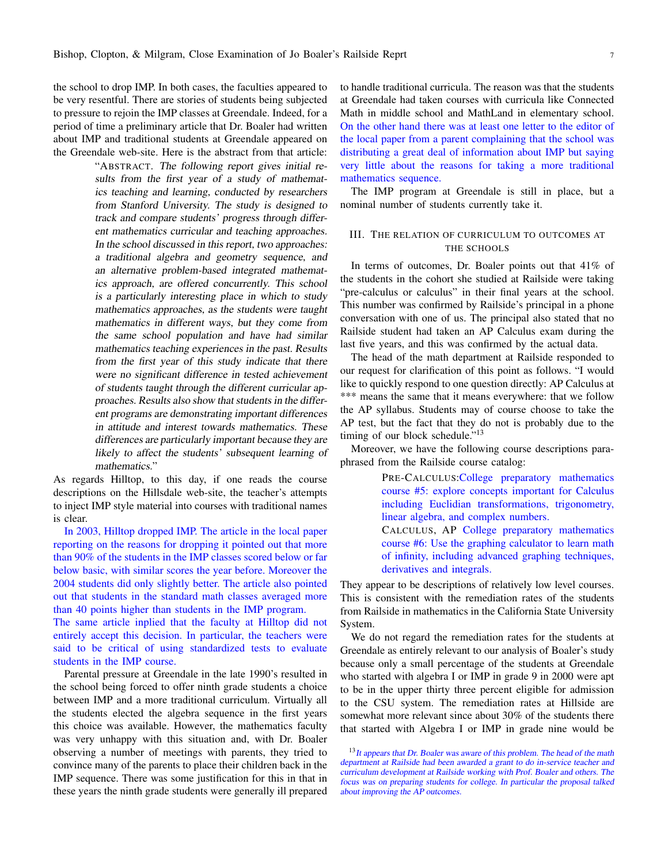the school to drop IMP. In both cases, the faculties appeared to be very resentful. There are stories of students being subjected to pressure to rejoin the IMP classes at Greendale. Indeed, for a period of time a preliminary article that Dr. Boaler had written about IMP and traditional students at Greendale appeared on the Greendale web-site. Here is the abstract from that article:

> "ABSTRACT. The following report gives initial results from the first year of a study of mathematics teaching and learning, conducted by researchers from Stanford University. The study is designed to track and compare students' progress through different mathematics curricular and teaching approaches. In the school discussed in this report, two approaches: <sup>a</sup> traditional algebra and geometry sequence, and an alternative problem-based integrated mathematics approach, are offered concurrently. This school is <sup>a</sup> particularly interesting place in which to study mathematics approaches, as the students were taught mathematics in different ways, but they come from the same school population and have had similar mathematics teaching experiences in the past. Results from the first year of this study indicate that there were no significant difference in tested achievement of students taught through the different curricular approaches. Results also show that students in the different programs are demonstrating important differences in attitude and interest towards mathematics. These differences are particularly important because they are likely to affect the students' subsequent learning of mathematics."

As regards Hilltop, to this day, if one reads the course descriptions on the Hillsdale web-site, the teacher's attempts to inject IMP style material into courses with traditional names is clear.

In 2003, Hilltop dropped IMP. The article in the local paper reporting on the reasons for dropping it pointed out that more than 90% of the students in the IMP classes scored below or far below basic, with similar scores the year before. Moreover the 2004 students did only slightly better. The article also pointed out that students in the standard math classes averaged more than 40 points higher than students in the IMP program.

The same article inplied that the faculty at Hilltop did not entirely accept this decision. In particular, the teachers were said to be critical of using standardized tests to evaluate students in the IMP course.

Parental pressure at Greendale in the late 1990's resulted in the school being forced to offer ninth grade students a choice between IMP and a more traditional curriculum. Virtually all the students elected the algebra sequence in the first years this choice was available. However, the mathematics faculty was very unhappy with this situation and, with Dr. Boaler observing a number of meetings with parents, they tried to convince many of the parents to place their children back in the IMP sequence. There was some justification for this in that in these years the ninth grade students were generally ill prepared

to handle traditional curricula. The reason was that the students at Greendale had taken courses with curricula like Connected Math in middle school and MathLand in elementary school. On the other hand there was at least one letter to the editor of the local paper from a parent complaining that the school was distributing a great deal of information about IMP but saying very little about the reasons for taking a more traditional mathematics sequence.

The IMP program at Greendale is still in place, but a nominal number of students currently take it.

## III. THE RELATION OF CURRICULUM TO OUTCOMES AT THE SCHOOLS

In terms of outcomes, Dr. Boaler points out that 41% of the students in the cohort she studied at Railside were taking "pre-calculus or calculus" in their final years at the school. This number was confirmed by Railside's principal in a phone conversation with one of us. The principal also stated that no Railside student had taken an AP Calculus exam during the last five years, and this was confirmed by the actual data.

The head of the math department at Railside responded to our request for clarification of this point as follows. "I would like to quickly respond to one question directly: AP Calculus at \*\*\* means the same that it means everywhere: that we follow the AP syllabus. Students may of course choose to take the AP test, but the fact that they do not is probably due to the timing of our block schedule."<sup>13</sup>

Moreover, we have the following course descriptions paraphrased from the Railside course catalog:

> PRE-CALCULUS:College preparatory mathematics course #5: explore concepts important for Calculus including Euclidian transformations, trigonometry, linear algebra, and complex numbers.

> CALCULUS, AP College preparatory mathematics course #6: Use the graphing calculator to learn math of infinity, including advanced graphing techniques, derivatives and integrals.

They appear to be descriptions of relatively low level courses. This is consistent with the remediation rates of the students from Railside in mathematics in the California State University System.

We do not regard the remediation rates for the students at Greendale as entirely relevant to our analysis of Boaler's study because only a small percentage of the students at Greendale who started with algebra I or IMP in grade 9 in 2000 were apt to be in the upper thirty three percent eligible for admission to the CSU system. The remediation rates at Hillside are somewhat more relevant since about 30% of the students there that started with Algebra I or IMP in grade nine would be

<sup>&</sup>lt;sup>13</sup>It appears that Dr. Boaler was aware of this problem. The head of the math department at Railside had been awarded <sup>a</sup> grant to do in-service teacher and curriculum development at Railside working with Prof. Boaler and others. The focus was on preparing students for college. In particular the proposal talked about improving the AP outcomes.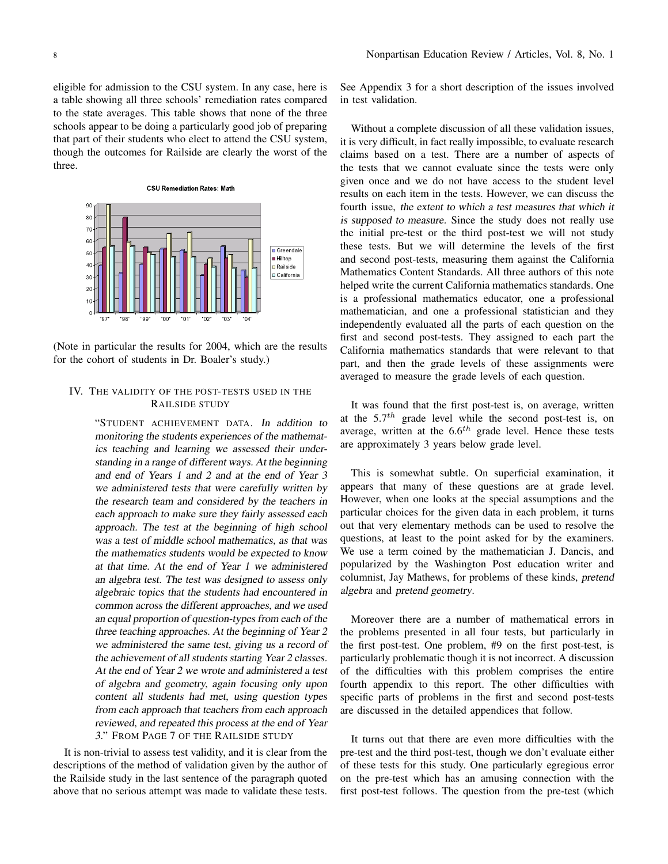eligible for admission to the CSU system. In any case, here is a table showing all three schools' remediation rates compared to the state averages. This table shows that none of the three schools appear to be doing a particularly good job of preparing that part of their students who elect to attend the CSU system, though the outcomes for Railside are clearly the worst of the three.



(Note in particular the results for 2004, which are the results for the cohort of students in Dr. Boaler's study.)

## IV. THE VALIDITY OF THE POST-TESTS USED IN THE RAILSIDE STUDY

"STUDENT ACHIEVEMENT DATA. In addition to monitoring the students experiences of the mathematics teaching and learning we assessed their understanding in <sup>a</sup> range of different ways. At the beginning and end of Years <sup>1</sup> and <sup>2</sup> and at the end of Year <sup>3</sup> we administered tests that were carefully written by the research team and considered by the teachers in each approach to make sure they fairly assessed each approach. The test at the beginning of high school was <sup>a</sup> test of middle school mathematics, as that was the mathematics students would be expected to know at that time. At the end of Year <sup>1</sup> we administered an algebra test. The test was designed to assess only algebraic topics that the students had encountered in common across the different approaches, and we used an equal proportion of question-types from each of the three teaching approaches. At the beginning of Year <sup>2</sup> we administered the same test, giving us <sup>a</sup> record of the achievement of all students starting Year <sup>2</sup> classes. At the end of Year <sup>2</sup> we wrote and administered <sup>a</sup> test of algebra and geometry, again focusing only upon content all students had met, using question types from each approach that teachers from each approach reviewed, and repeated this process at the end of Year 3." FROM PAGE 7 OF THE RAILSIDE STUDY

It is non-trivial to assess test validity, and it is clear from the descriptions of the method of validation given by the author of the Railside study in the last sentence of the paragraph quoted above that no serious attempt was made to validate these tests.

See Appendix 3 for a short description of the issues involved in test validation.

Without a complete discussion of all these validation issues, it is very difficult, in fact really impossible, to evaluate research claims based on a test. There are a number of aspects of the tests that we cannot evaluate since the tests were only given once and we do not have access to the student level results on each item in the tests. However, we can discuss the fourth issue, the extent to which <sup>a</sup> test measures that which it is supposed to measure. Since the study does not really use the initial pre-test or the third post-test we will not study these tests. But we will determine the levels of the first and second post-tests, measuring them against the California Mathematics Content Standards. All three authors of this note helped write the current California mathematics standards. One is a professional mathematics educator, one a professional mathematician, and one a professional statistician and they independently evaluated all the parts of each question on the first and second post-tests. They assigned to each part the California mathematics standards that were relevant to that part, and then the grade levels of these assignments were averaged to measure the grade levels of each question.

It was found that the first post-test is, on average, written at the 5.7*th* grade level while the second post-test is, on average, written at the 6.6*th* grade level. Hence these tests are approximately 3 years below grade level.

This is somewhat subtle. On superficial examination, it appears that many of these questions are at grade level. However, when one looks at the special assumptions and the particular choices for the given data in each problem, it turns out that very elementary methods can be used to resolve the questions, at least to the point asked for by the examiners. We use a term coined by the mathematician J. Dancis, and popularized by the Washington Post education writer and columnist, Jay Mathews, for problems of these kinds, pretend algebra and pretend geometry.

Moreover there are a number of mathematical errors in the problems presented in all four tests, but particularly in the first post-test. One problem, #9 on the first post-test, is particularly problematic though it is not incorrect. A discussion of the difficulties with this problem comprises the entire fourth appendix to this report. The other difficulties with specific parts of problems in the first and second post-tests are discussed in the detailed appendices that follow.

It turns out that there are even more difficulties with the pre-test and the third post-test, though we don't evaluate either of these tests for this study. One particularly egregious error on the pre-test which has an amusing connection with the first post-test follows. The question from the pre-test (which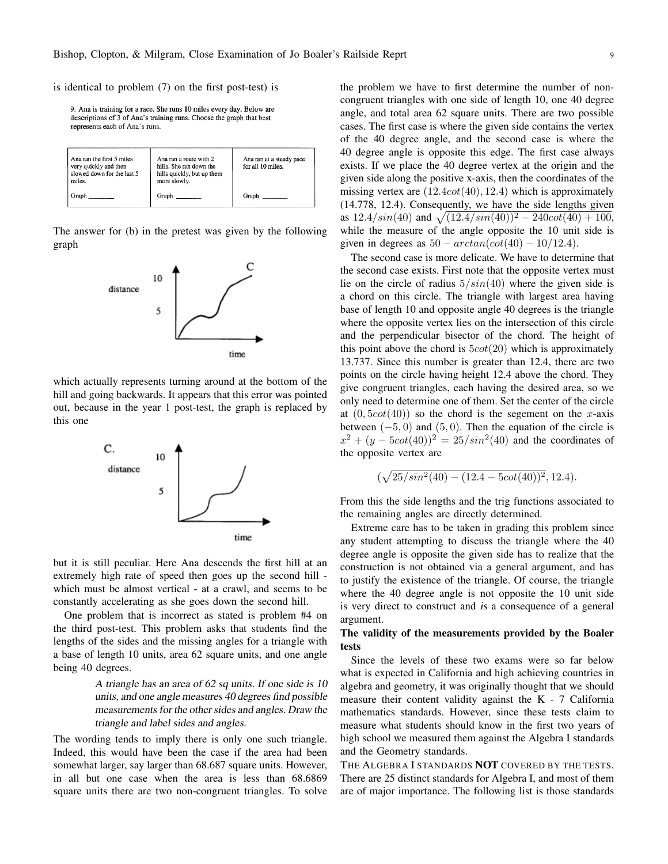is identical to problem (7) on the first post-test) is

9. Ana is training for a race. She runs 10 miles every day. Below are descriptions of 3 of Ana's training runs. Choose the graph that best represents each of Ana's runs.

| Ana ran the first 5 miles<br>very quickly and then<br>slowed down for the last 5<br>miles. | Ana ran a route with 2<br>hills. She ran down the<br>hills quickly, but up them<br>more slowly. | Ana ran at a steady pace<br>for all 10 miles. |
|--------------------------------------------------------------------------------------------|-------------------------------------------------------------------------------------------------|-----------------------------------------------|
| Graph                                                                                      | Graph                                                                                           | Graph                                         |

The answer for (b) in the pretest was given by the following graph



which actually represents turning around at the bottom of the hill and going backwards. It appears that this error was pointed out, because in the year 1 post-test, the graph is replaced by this one



but it is still peculiar. Here Ana descends the first hill at an extremely high rate of speed then goes up the second hill which must be almost vertical - at a crawl, and seems to be constantly accelerating as she goes down the second hill.

One problem that is incorrect as stated is problem #4 on the third post-test. This problem asks that students find the lengths of the sides and the missing angles for a triangle with a base of length 10 units, area 62 square units, and one angle being 40 degrees.

> <sup>A</sup> triangle has an area of <sup>62</sup> sq units. If one side is <sup>10</sup> units, and one angle measures <sup>40</sup> degrees find possible measurements for the other sides and angles. Draw the triangle and label sides and angles.

The wording tends to imply there is only one such triangle. Indeed, this would have been the case if the area had been somewhat larger, say larger than 68.687 square units. However, in all but one case when the area is less than 68.6869 square units there are two non-congruent triangles. To solve the problem we have to first determine the number of noncongruent triangles with one side of length 10, one 40 degree angle, and total area 62 square units. There are two possible cases. The first case is where the given side contains the vertex of the 40 degree angle, and the second case is where the 40 degree angle is opposite this edge. The first case always exists. If we place the 40 degree vertex at the origin and the given side along the positive x-axis, then the coordinates of the missing vertex are (12*.*4*cot*(40)*,* 12*.*4) which is approximately (14.778, 12.4). Consequently, we have the side lengths given as  $12.4/\sin(40)$  and  $\sqrt{(12.4/\sin(40))^2 - 240\cot(40) + 100}$ , while the measure of the angle opposite the 10 unit side is given in degrees as  $50 - arctan(cot(40) - 10/12.4)$ .

The second case is more delicate. We have to determine that the second case exists. First note that the opposite vertex must lie on the circle of radius 5*/sin*(40) where the given side is a chord on this circle. The triangle with largest area having base of length 10 and opposite angle 40 degrees is the triangle where the opposite vertex lies on the intersection of this circle and the perpendicular bisector of the chord. The height of this point above the chord is 5*cot*(20) which is approximately 13.737. Since this number is greater than 12.4, there are two points on the circle having height 12.4 above the chord. They give congruent triangles, each having the desired area, so we only need to determine one of them. Set the center of the circle at  $(0,5cot(40))$  so the chord is the segement on the *x*-axis between (*−*5*,* 0) and (5*,* 0). Then the equation of the circle is  $x^2 + (y - 5cot(40))^2 = 25/sin^2(40)$  and the coordinates of the opposite vertex are

$$
(\sqrt{25/sin^2(40)-(12.4-5cot(40))^2}, 12.4).
$$

From this the side lengths and the trig functions associated to the remaining angles are directly determined.

Extreme care has to be taken in grading this problem since any student attempting to discuss the triangle where the 40 degree angle is opposite the given side has to realize that the construction is not obtained via a general argument, and has to justify the existence of the triangle. Of course, the triangle where the 40 degree angle is not opposite the 10 unit side is very direct to construct and is a consequence of a general argument.

## The validity of the measurements provided by the Boaler tests

Since the levels of these two exams were so far below what is expected in California and high achieving countries in algebra and geometry, it was originally thought that we should measure their content validity against the K - 7 California mathematics standards. However, since these tests claim to measure what students should know in the first two years of high school we measured them against the Algebra I standards and the Geometry standards.

THE ALGEBRA I STANDARDS NOT COVERED BY THE TESTS. There are 25 distinct standards for Algebra I, and most of them are of major importance. The following list is those standards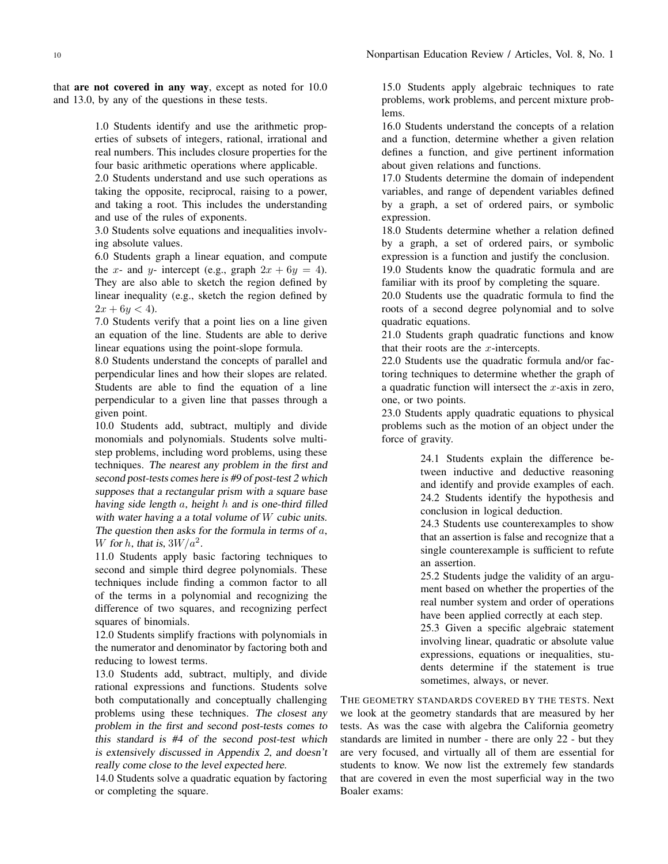that are not covered in any way, except as noted for 10.0 and 13.0, by any of the questions in these tests.

> 1.0 Students identify and use the arithmetic properties of subsets of integers, rational, irrational and real numbers. This includes closure properties for the four basic arithmetic operations where applicable.

> 2.0 Students understand and use such operations as taking the opposite, reciprocal, raising to a power, and taking a root. This includes the understanding and use of the rules of exponents.

> 3.0 Students solve equations and inequalities involving absolute values.

> 6.0 Students graph a linear equation, and compute the *x*- and *y*- intercept (e.g., graph  $2x + 6y = 4$ ). They are also able to sketch the region defined by linear inequality (e.g., sketch the region defined by  $2x + 6y < 4$ ).

> 7.0 Students verify that a point lies on a line given an equation of the line. Students are able to derive linear equations using the point-slope formula.

> 8.0 Students understand the concepts of parallel and perpendicular lines and how their slopes are related. Students are able to find the equation of a line perpendicular to a given line that passes through a given point.

> 10.0 Students add, subtract, multiply and divide monomials and polynomials. Students solve multistep problems, including word problems, using these techniques. The nearest any problem in the first and second post-tests comes here is #9 of post-test <sup>2</sup> which supposes that <sup>a</sup> rectangular prism with <sup>a</sup> square base having side length *a*, height *h* and is one-third filled with water having <sup>a</sup> <sup>a</sup> total volume of *W* cubic units. The question then asks for the formula in terms of *a*, *W* for *h*, that is,  $3W/a^2$ .

> 11.0 Students apply basic factoring techniques to second and simple third degree polynomials. These techniques include finding a common factor to all of the terms in a polynomial and recognizing the difference of two squares, and recognizing perfect squares of binomials.

> 12.0 Students simplify fractions with polynomials in the numerator and denominator by factoring both and reducing to lowest terms.

> 13.0 Students add, subtract, multiply, and divide rational expressions and functions. Students solve both computationally and conceptually challenging problems using these techniques. The closest any problem in the first and second post-tests comes to this standard is #4 of the second post-test which is extensively discussed in Appendix 2, and doesn't really come close to the level expected here.

> 14.0 Students solve a quadratic equation by factoring or completing the square.

15.0 Students apply algebraic techniques to rate problems, work problems, and percent mixture problems.

16.0 Students understand the concepts of a relation and a function, determine whether a given relation defines a function, and give pertinent information about given relations and functions.

17.0 Students determine the domain of independent variables, and range of dependent variables defined by a graph, a set of ordered pairs, or symbolic expression.

18.0 Students determine whether a relation defined by a graph, a set of ordered pairs, or symbolic expression is a function and justify the conclusion.

19.0 Students know the quadratic formula and are familiar with its proof by completing the square.

20.0 Students use the quadratic formula to find the roots of a second degree polynomial and to solve quadratic equations.

21.0 Students graph quadratic functions and know that their roots are the *x*-intercepts.

22.0 Students use the quadratic formula and/or factoring techniques to determine whether the graph of a quadratic function will intersect the *x*-axis in zero, one, or two points.

23.0 Students apply quadratic equations to physical problems such as the motion of an object under the force of gravity.

> 24.1 Students explain the difference between inductive and deductive reasoning and identify and provide examples of each. 24.2 Students identify the hypothesis and conclusion in logical deduction.

> 24.3 Students use counterexamples to show that an assertion is false and recognize that a single counterexample is sufficient to refute an assertion.

> 25.2 Students judge the validity of an argument based on whether the properties of the real number system and order of operations have been applied correctly at each step.

> 25.3 Given a specific algebraic statement involving linear, quadratic or absolute value expressions, equations or inequalities, students determine if the statement is true sometimes, always, or never.

THE GEOMETRY STANDARDS COVERED BY THE TESTS. Next we look at the geometry standards that are measured by her tests. As was the case with algebra the California geometry standards are limited in number - there are only 22 - but they are very focused, and virtually all of them are essential for students to know. We now list the extremely few standards that are covered in even the most superficial way in the two Boaler exams: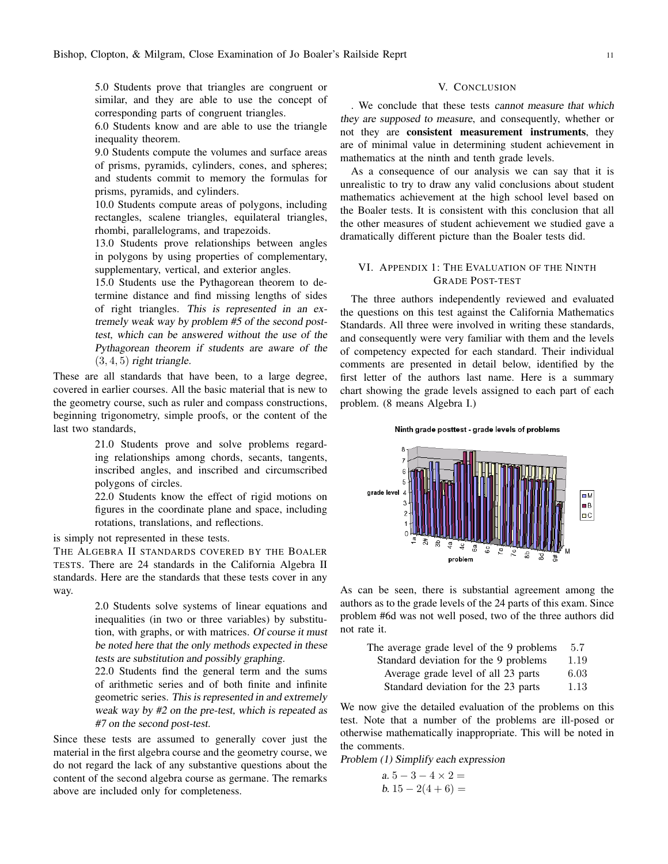5.0 Students prove that triangles are congruent or similar, and they are able to use the concept of corresponding parts of congruent triangles.

6.0 Students know and are able to use the triangle inequality theorem.

9.0 Students compute the volumes and surface areas of prisms, pyramids, cylinders, cones, and spheres; and students commit to memory the formulas for prisms, pyramids, and cylinders.

10.0 Students compute areas of polygons, including rectangles, scalene triangles, equilateral triangles, rhombi, parallelograms, and trapezoids.

13.0 Students prove relationships between angles in polygons by using properties of complementary, supplementary, vertical, and exterior angles.

15.0 Students use the Pythagorean theorem to determine distance and find missing lengths of sides of right triangles. This is represented in an extremely weak way by problem #5 of the second posttest, which can be answered without the use of the Pythagorean theorem if students are aware of the  $(3, 4, 5)$  right triangle.

These are all standards that have been, to a large degree, covered in earlier courses. All the basic material that is new to the geometry course, such as ruler and compass constructions, beginning trigonometry, simple proofs, or the content of the last two standards,

> 21.0 Students prove and solve problems regarding relationships among chords, secants, tangents, inscribed angles, and inscribed and circumscribed polygons of circles.

> 22.0 Students know the effect of rigid motions on figures in the coordinate plane and space, including rotations, translations, and reflections.

is simply not represented in these tests.

THE ALGEBRA II STANDARDS COVERED BY THE BOALER TESTS. There are 24 standards in the California Algebra II standards. Here are the standards that these tests cover in any way.

> 2.0 Students solve systems of linear equations and inequalities (in two or three variables) by substitution, with graphs, or with matrices. Of course it must be noted here that the only methods expected in these tests are substitution and possibly graphing.

> 22.0 Students find the general term and the sums of arithmetic series and of both finite and infinite geometric series. This is represented in and extremely weak way by #2 on the pre-test, which is repeated as #7 on the second post-test.

Since these tests are assumed to generally cover just the material in the first algebra course and the geometry course, we do not regard the lack of any substantive questions about the content of the second algebra course as germane. The remarks above are included only for completeness.

### V. CONCLUSION

. We conclude that these tests cannot measure that which they are supposed to measure, and consequently, whether or not they are consistent measurement instruments, they are of minimal value in determining student achievement in mathematics at the ninth and tenth grade levels.

As a consequence of our analysis we can say that it is unrealistic to try to draw any valid conclusions about student mathematics achievement at the high school level based on the Boaler tests. It is consistent with this conclusion that all the other measures of student achievement we studied gave a dramatically different picture than the Boaler tests did.

### VI. APPENDIX 1: THE EVALUATION OF THE NINTH GRADE POST-TEST

The three authors independently reviewed and evaluated the questions on this test against the California Mathematics Standards. All three were involved in writing these standards, and consequently were very familiar with them and the levels of competency expected for each standard. Their individual comments are presented in detail below, identified by the first letter of the authors last name. Here is a summary chart showing the grade levels assigned to each part of each problem. (8 means Algebra I.)

Ninth grade posttest - grade levels of problems



As can be seen, there is substantial agreement among the authors as to the grade levels of the 24 parts of this exam. Since problem #6d was not well posed, two of the three authors did not rate it.

| The average grade level of the 9 problems | 5.7  |
|-------------------------------------------|------|
| Standard deviation for the 9 problems     | 1.19 |
| Average grade level of all 23 parts       | 6.03 |
| Standard deviation for the 23 parts       | 1.13 |
|                                           |      |

We now give the detailed evaluation of the problems on this test. Note that a number of the problems are ill-posed or otherwise mathematically inappropriate. This will be noted in the comments.

Problem (1) Simplify each expression

 $a. 5 - 3 - 4 \times 2 =$ b.  $15 - 2(4 + 6) =$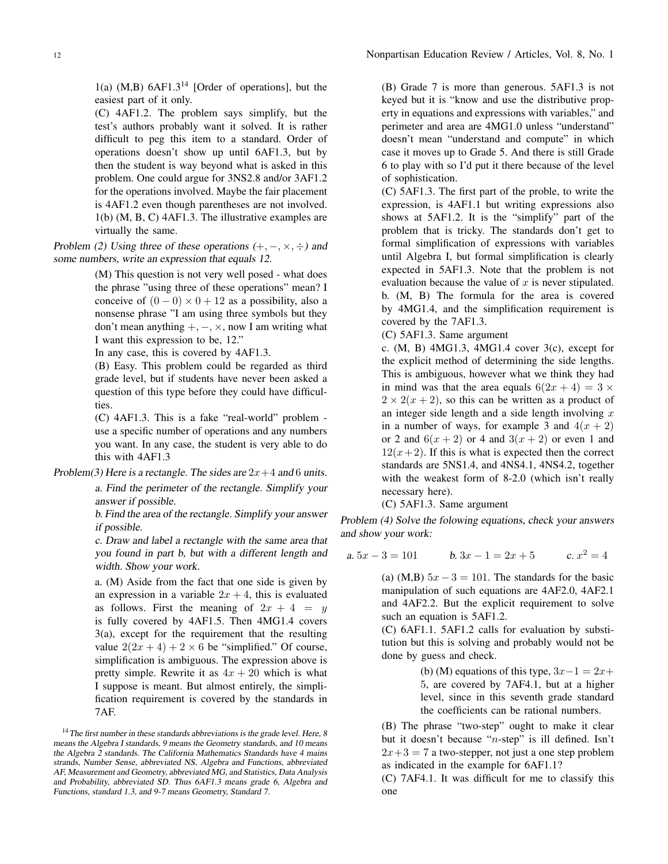$1(a)$  (M,B)  $6AF1.3<sup>14</sup>$  [Order of operations], but the easiest part of it only.

(C) 4AF1.2. The problem says simplify, but the test's authors probably want it solved. It is rather difficult to peg this item to a standard. Order of operations doesn't show up until 6AF1.3, but by then the student is way beyond what is asked in this problem. One could argue for 3NS2.8 and/or 3AF1.2 for the operations involved. Maybe the fair placement is 4AF1.2 even though parentheses are not involved. 1(b) (M, B, C) 4AF1.3. The illustrative examples are virtually the same.

Problem (2) Using three of these operations  $(+, -, \times, \div)$  and some numbers, write an expression that equals 12.

> (M) This question is not very well posed - what does the phrase "using three of these operations" mean? I conceive of  $(0 - 0) \times 0 + 12$  as a possibility, also a nonsense phrase "I am using three symbols but they don't mean anything +*, −, ×*, now I am writing what I want this expression to be, 12."

In any case, this is covered by 4AF1.3.

(B) Easy. This problem could be regarded as third grade level, but if students have never been asked a question of this type before they could have difficulties.

(C) 4AF1.3. This is a fake "real-world" problem use a specific number of operations and any numbers you want. In any case, the student is very able to do this with 4AF1.3

Problem(3) Here is a rectangle. The sides are  $2x+4$  and 6 units.

a. Find the perimeter of the rectangle. Simplify your answer if possible.

b. Find the area of the rectangle. Simplify your answer if possible.

c. Draw and label <sup>a</sup> rectangle with the same area that you found in part b, but with <sup>a</sup> different length and width. Show your work.

a. (M) Aside from the fact that one side is given by an expression in a variable  $2x + 4$ , this is evaluated as follows. First the meaning of  $2x + 4 = y$ is fully covered by 4AF1.5. Then 4MG1.4 covers 3(a), except for the requirement that the resulting value  $2(2x + 4) + 2 \times 6$  be "simplified." Of course, simplification is ambiguous. The expression above is pretty simple. Rewrite it as  $4x + 20$  which is what I suppose is meant. But almost entirely, the simplification requirement is covered by the standards in 7AF.

(B) Grade 7 is more than generous. 5AF1.3 is not keyed but it is "know and use the distributive property in equations and expressions with variables," and perimeter and area are 4MG1.0 unless "understand" doesn't mean "understand and compute" in which case it moves up to Grade 5. And there is still Grade 6 to play with so I'd put it there because of the level of sophistication.

(C) 5AF1.3. The first part of the proble, to write the expression, is 4AF1.1 but writing expressions also shows at 5AF1.2. It is the "simplify" part of the problem that is tricky. The standards don't get to formal simplification of expressions with variables until Algebra I, but formal simplification is clearly expected in 5AF1.3. Note that the problem is not evaluation because the value of *x* is never stipulated. b. (M, B) The formula for the area is covered by 4MG1.4, and the simplification requirement is covered by the 7AF1.3.

(C) 5AF1.3. Same argument

c. (M, B) 4MG1.3, 4MG1.4 cover 3(c), except for the explicit method of determining the side lengths. This is ambiguous, however what we think they had in mind was that the area equals  $6(2x + 4) = 3 \times$  $2 \times 2(x+2)$ , so this can be written as a product of an integer side length and a side length involving *x* in a number of ways, for example 3 and  $4(x + 2)$ or 2 and  $6(x+2)$  or 4 and  $3(x+2)$  or even 1 and  $12(x+2)$ . If this is what is expected then the correct standards are 5NS1.4, and 4NS4.1, 4NS4.2, together with the weakest form of 8-2.0 (which isn't really necessary here).

(C) 5AF1.3. Same argument

Problem (4) Solve the folowing equations, check your answers and show your work:

a.  $5x - 3 = 101$  b.  $3x - 1 = 2x + 5$ c.  $x^2 = 4$ 

> (a) (M,B)  $5x - 3 = 101$ . The standards for the basic manipulation of such equations are 4AF2.0, 4AF2.1 and 4AF2.2. But the explicit requirement to solve such an equation is 5AF1.2.

> (C) 6AF1.1. 5AF1.2 calls for evaluation by substitution but this is solving and probably would not be done by guess and check.

> > (b) (M) equations of this type,  $3x-1 = 2x+$ 5, are covered by 7AF4.1, but at a higher level, since in this seventh grade standard the coefficients can be rational numbers.

(B) The phrase "two-step" ought to make it clear but it doesn't because "*n*-step" is ill defined. Isn't  $2x+3=7$  a two-stepper, not just a one step problem as indicated in the example for 6AF1.1?

(C) 7AF4.1. It was difficult for me to classify this one

<sup>&</sup>lt;sup>14</sup> The first number in these standards abbreviations is the grade level. Here, 8 means the Algebra <sup>I</sup> standards, <sup>9</sup> means the Geometry standards, and <sup>10</sup> means the Algebra <sup>2</sup> standards. The California Mathematics Standards have <sup>4</sup> mains strands, Number Sense, abbreviated NS, Algebra and Functions, abbreviated AF, Measurement and Geometry, abbreviated MG, and Statistics, Data Analysis and Probability, abbreviated SD. Thus 6AF1.3 means grade 6, Algebra and Functions, standard 1.3, and 9-7 means Geometry, Standard 7.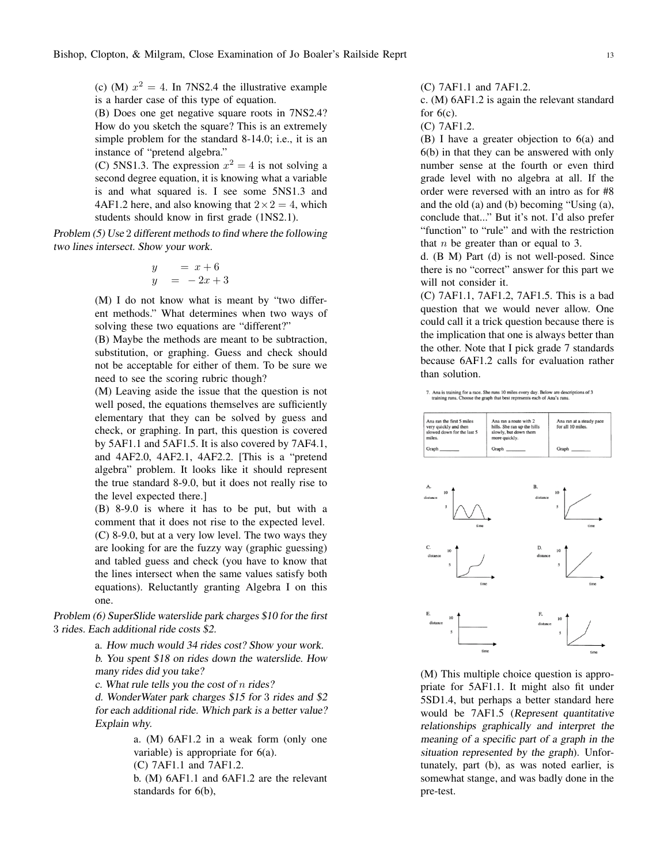(c) (M)  $x^2 = 4$ . In 7NS2.4 the illustrative example is a harder case of this type of equation.

(B) Does one get negative square roots in 7NS2.4? How do you sketch the square? This is an extremely simple problem for the standard 8-14.0; i.e., it is an instance of "pretend algebra."

(C) 5NS1.3. The expression  $x^2 = 4$  is not solving a second degree equation, it is knowing what a variable is and what squared is. I see some 5NS1.3 and 4AF1.2 here, and also knowing that  $2 \times 2 = 4$ , which students should know in first grade (1NS2.1).

Problem (5) Use 2 different methods to find where the following two lines intersect. Show your work.

$$
\begin{array}{rcl}\ny & = & x+6 \\
y & = & -2x+3\n\end{array}
$$

(M) I do not know what is meant by "two different methods." What determines when two ways of solving these two equations are "different?"

(B) Maybe the methods are meant to be subtraction, substitution, or graphing. Guess and check should not be acceptable for either of them. To be sure we need to see the scoring rubric though?

(M) Leaving aside the issue that the question is not well posed, the equations themselves are sufficiently elementary that they can be solved by guess and check, or graphing. In part, this question is covered by 5AF1.1 and 5AF1.5. It is also covered by 7AF4.1, and 4AF2.0, 4AF2.1, 4AF2.2. [This is a "pretend algebra" problem. It looks like it should represent the true standard 8-9.0, but it does not really rise to the level expected there.]

(B) 8-9.0 is where it has to be put, but with a comment that it does not rise to the expected level. (C) 8-9.0, but at a very low level. The two ways they are looking for are the fuzzy way (graphic guessing) and tabled guess and check (you have to know that the lines intersect when the same values satisfy both equations). Reluctantly granting Algebra I on this one.

Problem (6) SuperSlide waterslide park charges \$10 for the first 3 rides. Each additional ride costs \$2.

> a. How much would <sup>34</sup> rides cost? Show your work. b. You spent \$18 on rides down the waterslide. How many rides did you take?

c. What rule tells you the cost of *n* rides?

d. WonderWater park charges \$15 for 3 rides and \$2 for each additional ride. Which park is <sup>a</sup> better value? Explain why.

> a. (M) 6AF1.2 in a weak form (only one variable) is appropriate for 6(a).

(C) 7AF1.1 and 7AF1.2.

b. (M) 6AF1.1 and 6AF1.2 are the relevant standards for 6(b),

(C) 7AF1.1 and 7AF1.2.

c. (M) 6AF1.2 is again the relevant standard for  $6(c)$ .

(C) 7AF1.2.

(B) I have a greater objection to 6(a) and 6(b) in that they can be answered with only number sense at the fourth or even third grade level with no algebra at all. If the order were reversed with an intro as for #8 and the old (a) and (b) becoming "Using (a), conclude that..." But it's not. I'd also prefer "function" to "rule" and with the restriction that *n* be greater than or equal to 3.

d. (B M) Part (d) is not well-posed. Since there is no "correct" answer for this part we will not consider it.

(C) 7AF1.1, 7AF1.2, 7AF1.5. This is a bad question that we would never allow. One could call it a trick question because there is the implication that one is always better than the other. Note that I pick grade 7 standards because 6AF1.2 calls for evaluation rather than solution.

7. Ana is training for a race. She runs 10 miles every day. Below are descriptions of 3 training runs. Choose the graph that best represents each of Ana's runs.

| Ana ran the first 5 miles<br>very quickly and then<br>slowed down for the last 5<br>miles. | Ana ran a route with 2<br>hills. She ran up the hills<br>slowly, but down them<br>more quickly. | Ana ran at a steady pace<br>for all 10 miles. |
|--------------------------------------------------------------------------------------------|-------------------------------------------------------------------------------------------------|-----------------------------------------------|
| Graph ________                                                                             | Graph                                                                                           | Graph                                         |



(M) This multiple choice question is appropriate for 5AF1.1. It might also fit under 5SD1.4, but perhaps a better standard here would be 7AF1.5 (Represent quantitative relationships graphically and interpret the meaning of <sup>a</sup> specific part of <sup>a</sup> graph in the situation represented by the graph). Unfortunately, part (b), as was noted earlier, is somewhat stange, and was badly done in the pre-test.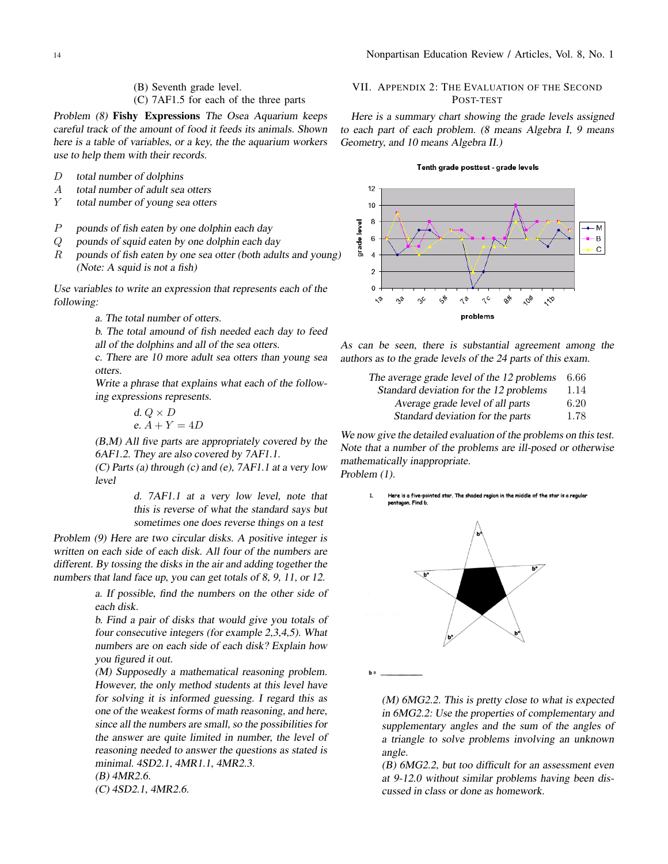#### (B) Seventh grade level.

(C) 7AF1.5 for each of the three parts

Problem (8) Fishy Expressions The Osea Aquarium keeps careful track of the amount of food it feeds its animals. Shown here is <sup>a</sup> table of variables, or <sup>a</sup> key, the the aquarium workers use to help them with their records.

- *D* total number of dolphins
- *A* total number of adult sea otters
- *Y* total number of young sea otters
- *P* pounds of fish eaten by one dolphin each day
- *Q* pounds of squid eaten by one dolphin each day
- *R* pounds of fish eaten by one sea otter (both adults and young) (Note: <sup>A</sup> squid is not <sup>a</sup> fish)

Use variables to write an expression that represents each of the following:

a. The total number of otters.

b. The total amound of fish needed each day to feed all of the dolphins and all of the sea otters.

c. There are <sup>10</sup> more adult sea otters than young sea otters.

Write a phrase that explains what each of the following expressions represents.

$$
d. Q \times D
$$
  
e.  $A + Y = 4D$ 

(B,M) All five parts are appropriately covered by the 6AF1.2. They are also covered by 7AF1.1.

(C) Parts (a) through (c) and (e), 7AF1.1 at <sup>a</sup> very low level

> d. 7AF1.1 at <sup>a</sup> very low level, note that this is reverse of what the standard says but sometimes one does reverse things on <sup>a</sup> test

Problem (9) Here are two circular disks. <sup>A</sup> positive integer is written on each side of each disk. All four of the numbers are different. By tossing the disks in the air and adding together the numbers that land face up, you can get totals of 8, 9, 11, or 12.

> a. If possible, find the numbers on the other side of each disk.

> b. Find <sup>a</sup> pair of disks that would give you totals of four consecutive integers (for example 2,3,4,5). What numbers are on each side of each disk? Explain how you figured it out.

> (M) Supposedly <sup>a</sup> mathematical reasoning problem. However, the only method students at this level have for solving it is informed guessing. <sup>I</sup> regard this as one of the weakest forms of math reasoning, and here, since all the numbers are small, so the possibilities for the answer are quite limited in number, the level of reasoning needed to answer the questions as stated is minimal. 4SD2.1, 4MR1.1, 4MR2.3.

(B) 4MR2.6.

(C) 4SD2.1, 4MR2.6.

## VII. APPENDIX 2: THE EVALUATION OF THE SECOND POST-TEST

Here is <sup>a</sup> summary chart showing the grade levels assigned to each part of each problem. (8 means Algebra I, <sup>9</sup> means Geometry, and <sup>10</sup> means Algebra II.)

#### Tenth grade posttest - grade levels



As can be seen, there is substantial agreement among the authors as to the grade levels of the <sup>24</sup> parts of this exam.

| The average grade level of the 12 problems | -6.66 |
|--------------------------------------------|-------|
| Standard deviation for the 12 problems     | 1.14  |
| Aversoe grade level of all parts           | 6.20  |

Average grade level of all parts 6*.*20 Standard deviation for the parts 1.78

We now give the detailed evaluation of the problems on this test. Note that <sup>a</sup> number of the problems are ill-posed or otherwise mathematically inappropriate. Problem (1).

> $\mathbf{1}$ Here is a five-pointed star. The shaded region in the middle of the star is a regular pentagon. Find b.

 $b =$ 

(M) 6MG2.2. This is pretty close to what is expected in 6MG2.2: Use the properties of complementary and supplementary angles and the sum of the angles of <sup>a</sup> triangle to solve problems involving an unknown angle.

(B) 6MG2.2, but too difficult for an assessment even at 9-12.0 without similar problems having been discussed in class or done as homework.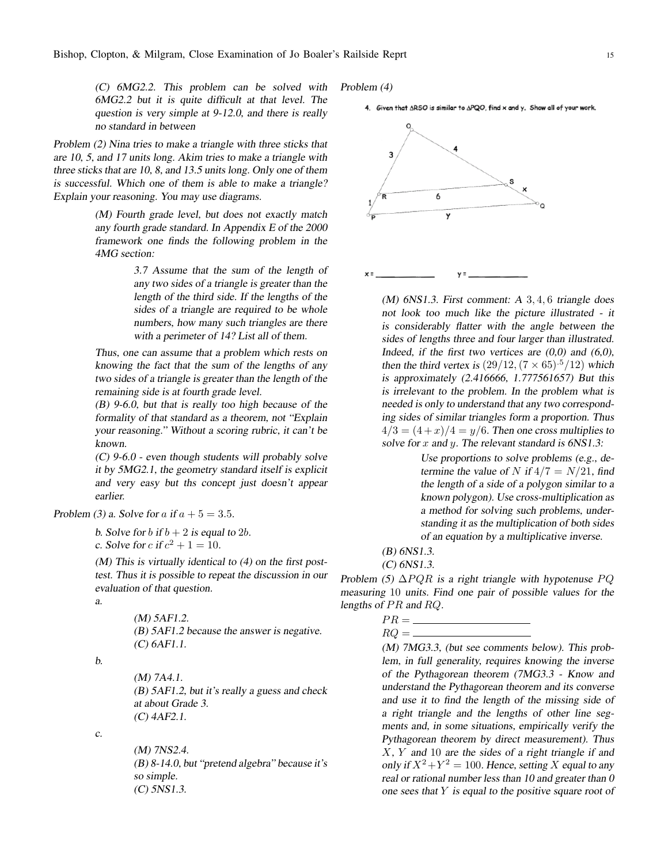(C) 6MG2.2. This problem can be solved with 6MG2.2 but it is quite difficult at that level. The question is very simple at 9-12.0, and there is really no standard in between

Problem (2) Nina tries to make <sup>a</sup> triangle with three sticks that are 10, 5, and <sup>17</sup> units long. Akim tries to make <sup>a</sup> triangle with three sticks that are 10, 8, and 13.5 units long. Only one of them is successful. Which one of them is able to make <sup>a</sup> triangle? Explain your reasoning. You may use diagrams.

> (M) Fourth grade level, but does not exactly match any fourth grade standard. In Appendix <sup>E</sup> of the <sup>2000</sup> framework one finds the following problem in the 4MG section:

> > 3.7 Assume that the sum of the length of any two sides of <sup>a</sup> triangle is greater than the length of the third side. If the lengths of the sides of <sup>a</sup> triangle are required to be whole numbers, how many such triangles are there with <sup>a</sup> perimeter of 14? List all of them.

Thus, one can assume that <sup>a</sup> problem which rests on knowing the fact that the sum of the lengths of any two sides of <sup>a</sup> triangle is greater than the length of the remaining side is at fourth grade level.

(B) 9-6.0, but that is really too high because of the formality of that standard as <sup>a</sup> theorem, not "Explain your reasoning." Without <sup>a</sup> scoring rubric, it can't be known.

(C) 9-6.0 - even though students will probably solve it by 5MG2.1, the geometry standard itself is explicit and very easy but ths concept just doesn't appear earlier.

Problem (3) a. Solve for  $a$  if  $a + 5 = 3.5$ .

b. Solve for *b* if  $b + 2$  is equal to 2*b*. *c*. Solve for *c* if  $c^2 + 1 = 10$ .

(M) This is virtually identical to (4) on the first posttest. Thus it is possible to repeat the discussion in our evaluation of that question.

a.

(M) 5AF1.2. (B) 5AF1.2 because the answer is negative. (C) 6AF1.1.

b.

(M) 7A4.1. (B) 5AF1.2, but it's really <sup>a</sup> guess and check at about Grade 3. (C) 4AF2.1.

c.

(M) 7NS2.4. (B) 8-14.0, but "pretend algebra" because it's so simple. (C) 5NS1.3.

Problem (4)

4. Given that ARSO is similar to APQO, find x and y. Show all of your work.



(M) 6NS1.3. First comment: <sup>A</sup> 3*,* 4*,* 6 triangle does not look too much like the picture illustrated - it is considerably flatter with the angle between the sides of lengths three and four larger than illustrated. Indeed, if the first two vertices are  $(0,0)$  and  $(6,0)$ , then the third vertex is  $(29/12, (7 \times 65)^{5}/12)$  which is approximately (2.416666, 1.777561657) But this is irrelevant to the problem. In the problem what is needed is only to understand that any two corresponding sides of similar triangles form <sup>a</sup> proportion. Thus  $4/3 = (4+x)/4 = y/6$ . Then one cross multiplies to solve for *x* and *y*. The relevant standard is 6NS1.3:

> Use proportions to solve problems (e.g., determine the value of *N* if  $4/7 = N/21$ , find the length of <sup>a</sup> side of <sup>a</sup> polygon similar to <sup>a</sup> known polygon). Use cross-multiplication as a method for solving such problems, understanding it as the multiplication of both sides of an equation by <sup>a</sup> multiplicative inverse.

(B) 6NS1.3.

(C) 6NS1.3.

Problem (5)  $\Delta PQR$  is a right triangle with hypotenuse *PQ* measuring 10 units. Find one pair of possible values for the lengths of *P R* and *RQ*.

$$
PR = \underline{\hspace{2cm}}
$$

 $RQ =$ 

(M) 7MG3.3, (but see comments below). This problem, in full generality, requires knowing the inverse of the Pythagorean theorem (7MG3.3 - Know and understand the Pythagorean theorem and its converse and use it to find the length of the missing side of a right triangle and the lengths of other line segments and, in some situations, empirically verify the Pythagorean theorem by direct measurement). Thus *X*, *Y* and 10 are the sides of <sup>a</sup> right triangle if and only if  $X^2 + Y^2 = 100$ . Hence, setting *X* equal to any real or rational number less than <sup>10</sup> and greater than <sup>0</sup> one sees that *Y* is equal to the positive square root of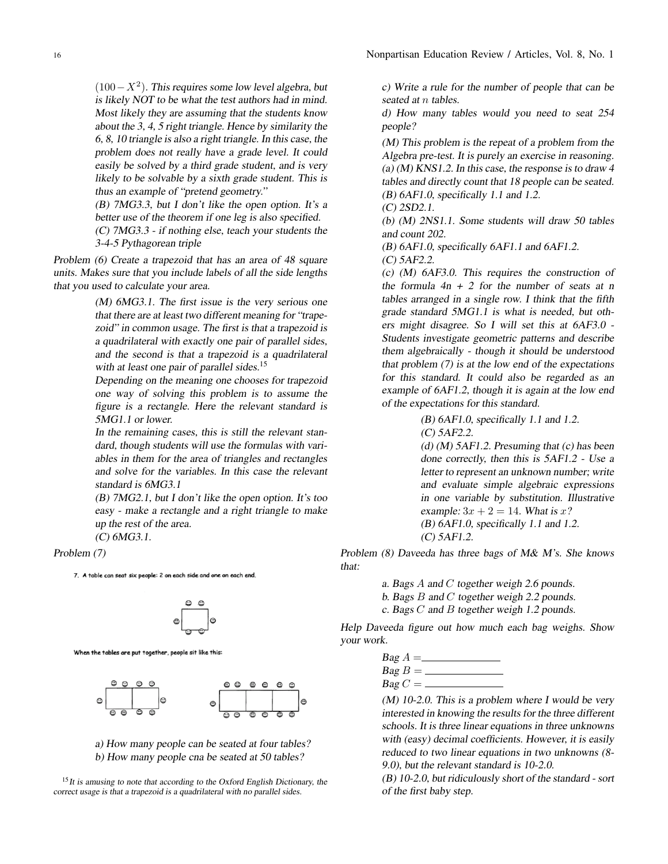(100*−X*<sup>2</sup> ). This requires some low level algebra, but is likely NOT to be what the test authors had in mind. Most likely they are assuming that the students know about the 3, 4, 5 right triangle. Hence by similarity the 6, 8, <sup>10</sup> triangle is also <sup>a</sup> right triangle. In this case, the problem does not really have <sup>a</sup> grade level. It could easily be solved by <sup>a</sup> third grade student, and is very likely to be solvable by <sup>a</sup> sixth grade student. This is thus an example of "pretend geometry."

(B) 7MG3.3, but <sup>I</sup> don't like the open option. It's <sup>a</sup> better use of the theorem if one leg is also specified.

(C) 7MG3.3 - if nothing else, teach your students the 3-4-5 Pythagorean triple

Problem (6) Create <sup>a</sup> trapezoid that has an area of <sup>48</sup> square units. Makes sure that you include labels of all the side lengths that you used to calculate your area.

> (M) 6MG3.1. The first issue is the very serious one that there are at least two different meaning for "trapezoid" in common usage. The first is that <sup>a</sup> trapezoid is <sup>a</sup> quadrilateral with exactly one pair of parallel sides, and the second is that <sup>a</sup> trapezoid is <sup>a</sup> quadrilateral with at least one pair of parallel sides.<sup>15</sup>

> Depending on the meaning one chooses for trapezoid one way of solving this problem is to assume the figure is <sup>a</sup> rectangle. Here the relevant standard is 5MG1.1 or lower.

> In the remaining cases, this is still the relevant standard, though students will use the formulas with variables in them for the area of triangles and rectangles and solve for the variables. In this case the relevant standard is 6MG3.1

> (B) 7MG2.1, but <sup>I</sup> don't like the open option. It's too easy - make <sup>a</sup> rectangle and <sup>a</sup> right triangle to make up the rest of the area. (C) 6MG3.1.

Problem (7)

7. A table can seat six people: 2 on each side and one on each end.



When the tables are put together, people sit like this:



a) How many people can be seated at four tables? b) How many people cna be seated at 50 tables?

<sup>15</sup>It is amusing to note that according to the Oxford English Dictionary, the correct usage is that <sup>a</sup> trapezoid is <sup>a</sup> quadrilateral with no parallel sides.

c) Write <sup>a</sup> rule for the number of people that can be seated at *n* tables.

d) How many tables would you need to seat 254 people?

(M) This problem is the repeat of <sup>a</sup> problem from the Algebra pre-test. It is purely an exercise in reasoning. (a)  $(M)$  KNS1.2. In this case, the response is to draw 4 tables and directly count that <sup>18</sup> people can be seated.  $(B)$  6AF1.0, specifically 1.1 and 1.2.

(C) 2SD2.1.

(b) (M) 2NS1.1. Some students will draw 50 tables and count 202.

(B) 6AF1.0, specifically 6AF1.1 and 6AF1.2.

(C) 5AF2.2.

(c) (M) 6AF3.0. This requires the construction of the formula  $4n + 2$  for the number of seats at n tables arranged in <sup>a</sup> single row. <sup>I</sup> think that the fifth grade standard 5MG1.1 is what is needed, but others might disagree. So <sup>I</sup> will set this at 6AF3.0 - Students investigate geometric patterns and describe them algebraically - though it should be understood that problem (7) is at the low end of the expectations for this standard. It could also be regarded as an example of 6AF1.2, though it is again at the low end of the expectations for this standard.

(B) 6AF1.0, specifically 1.1 and 1.2.

(C) 5AF2.2.

(d)  $(M)$  5AF1.2. Presuming that  $(c)$  has been done correctly, then this is 5AF1.2 - Use <sup>a</sup> letter to represent an unknown number; write and evaluate simple algebraic expressions in one variable by substitution. Illustrative example:  $3x + 2 = 14$ . What is *x*? (B) 6AF1.0, specifically 1.1 and 1.2. (C) 5AF1.2.

Problem (8) Daveeda has three bags of M& M's. She knows that:

- a. Bags *A* and *C* together weigh 2.6 pounds.
- b. Bags *B* and *C* together weigh 2.2 pounds.
- c. Bags *C* and *B* together weigh 1.2 pounds.

Help Daveeda figure out how much each bag weighs. Show your work.

$$
Bag A = \underline{\qquad \qquad } Bag B = \underline{\qquad \qquad } Bag C = \underline{\qquad \qquad } Bag C = \underline{\qquad \qquad } Bag
$$

 $(M)$  10-2.0. This is a problem where I would be very interested in knowing the results for the three different schools. It is three linear equations in three unknowns with (easy) decimal coefficients. However, it is easily reduced to two linear equations in two unknowns (8- 9.0), but the relevant standard is 10-2.0.

(B) 10-2.0, but ridiculously short of the standard - sort of the first baby step.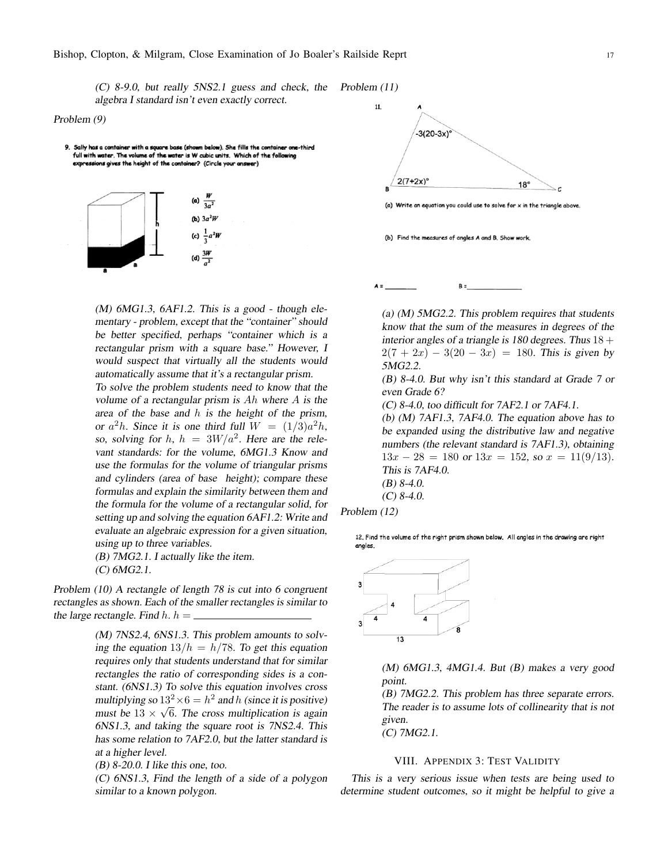(C) 8-9.0, but really 5NS2.1 guess and check, the Problem (11) algebra <sup>I</sup> standard isn't even exactly correct.

#### Problem (9)

9. Sally has a container with a square base (shown below). She fills the container one-third full with water. The volume of the water is W cubic units. Which of the follow xpressions gives the height of the container? (Circle your answer)



 $(M)$  6MG1.3, 6AF1.2. This is a good - though elementary - problem, except that the "container" should be better specified, perhaps "container which is <sup>a</sup> rectangular prism with <sup>a</sup> square base." However, <sup>I</sup> would suspect that virtually all the students would automatically assume that it's <sup>a</sup> rectangular prism.

To solve the problem students need to know that the volume of <sup>a</sup> rectangular prism is *Ah* where *A* is the area of the base and *h* is the height of the prism, or  $a^2h$ . Since it is one third full  $W = (1/3)a^2h$ , so, solving for *h*,  $h = 3W/a^2$ . Here are the relevant standards: for the volume, 6MG1.3 Know and use the formulas for the volume of triangular prisms and cylinders (area of base height); compare these formulas and explain the similarity between them and the formula for the volume of <sup>a</sup> rectangular solid, for setting up and solving the equation 6AF1.2: Write and evaluate an algebraic expression for <sup>a</sup> given situation, using up to three variables.

(B) 7MG2.1. <sup>I</sup> actually like the item.

(C) 6MG2.1.

Problem (10) <sup>A</sup> rectangle of length <sup>78</sup> is cut into <sup>6</sup> congruent rectangles as shown. Each of the smaller rectangles is similar to the large rectangle. Find  $h \cdot h =$ 

> (M) 7NS2.4, 6NS1.3. This problem amounts to solving the equation  $13/h = h/78$ . To get this equation requires only that students understand that for similar rectangles the ratio of corresponding sides is a constant. (6NS1.3) To solve this equation involves cross multiplying so  $13^2 \times 6 = h^2$  and *h* (since it is positive) must be  $13 \times \sqrt{6}$ . The cross multiplication is again 6NS1.3, and taking the square root is 7NS2.4. This has some relation to 7AF2.0, but the latter standard is at <sup>a</sup> higher level.

(B) 8-20.0. <sup>I</sup> like this one, too.

(C) 6NS1.3, Find the length of <sup>a</sup> side of <sup>a</sup> polygon similar to <sup>a</sup> known polygon.



(b) Find the measures of angles A and B. Show work



(a) (M) 5MG2.2. This problem requires that students know that the sum of the measures in degrees of the interior angles of a triangle is 180 degrees. Thus  $18 +$  $2(7 + 2x) - 3(20 - 3x) = 180$ . This is given by 5MG2.2.

(B) 8-4.0. But why isn't this standard at Grade <sup>7</sup> or even Grade 6?

(C) 8-4.0, too difficult for 7AF2.1 or 7AF4.1.

(b) (M) 7AF1.3, 7AF4.0. The equation above has to be expanded using the distributive law and negative numbers (the relevant standard is 7AF1.3), obtaining  $13x - 28 = 180$  or  $13x = 152$ , so  $x = 11(9/13)$ . This is 7AF4.0. (B) 8-4.0.

 $(C)$  8-4.0.

Problem (12)

12. Find the volume of the right prism shown below. All angles in the drawing are right angles



(M) 6MG1.3, 4MG1.4. But (B) makes <sup>a</sup> very good point.

(B) 7MG2.2. This problem has three separate errors. The reader is to assume lots of collinearity that is not given.

(C) 7MG2.1.

#### VIII. APPENDIX 3: TEST VALIDITY

This is <sup>a</sup> very serious issue when tests are being used to determine student outcomes, so it might be helpful to give <sup>a</sup>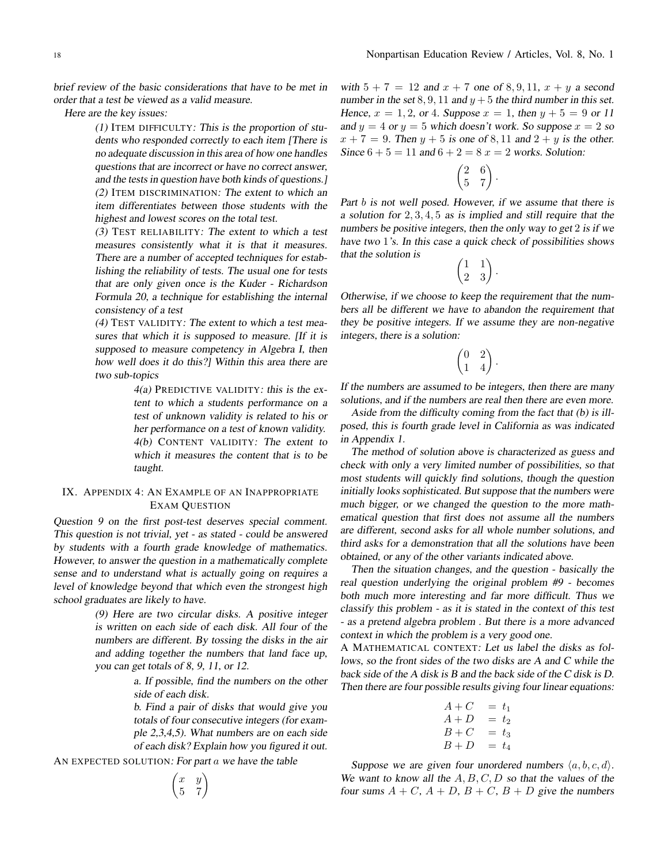brief review of the basic considerations that have to be met in order that <sup>a</sup> test be viewed as <sup>a</sup> valid measure.

Here are the key issues:

(1) ITEM DIFFICULTY: This is the proportion of students who responded correctly to each item [There is no adequate discussion in this area of how one handles questions that are incorrect or have no correct answer, and the tests in question have both kinds of questions.] (2) ITEM DISCRIMINATION: The extent to which an item differentiates between those students with the highest and lowest scores on the total test.

(3) TEST RELIABILITY: The extent to which <sup>a</sup> test measures consistently what it is that it measures. There are a number of accepted techniques for establishing the reliability of tests. The usual one for tests that are only given once is the Kuder - Richardson Formula 20, <sup>a</sup> technique for establishing the internal consistency of <sup>a</sup> test

(4) TEST VALIDITY: The extent to which <sup>a</sup> test measures that which it is supposed to measure. [If it is supposed to measure competency in Algebra I, then how well does it do this?] Within this area there are two sub-topics

> 4(a) PREDICTIVE VALIDITY: this is the extent to which <sup>a</sup> students performance on <sup>a</sup> test of unknown validity is related to his or her performance on <sup>a</sup> test of known validity. 4(b) CONTENT VALIDITY: The extent to which it measures the content that is to be taught.

## IX. APPENDIX 4: AN EXAMPLE OF AN INAPPROPRIATE EXAM QUESTION

Question <sup>9</sup> on the first post-test deserves special comment. This question is not trivial, yet - as stated - could be answered by students with <sup>a</sup> fourth grade knowledge of mathematics. However, to answer the question in <sup>a</sup> mathematically complete sense and to understand what is actually going on requires <sup>a</sup> level of knowledge beyond that which even the strongest high school graduates are likely to have.

> (9) Here are two circular disks. <sup>A</sup> positive integer is written on each side of each disk. All four of the numbers are different. By tossing the disks in the air and adding together the numbers that land face up, you can get totals of 8, 9, 11, or 12.

> > a. If possible, find the numbers on the other side of each disk.

> > b. Find <sup>a</sup> pair of disks that would give you totals of four consecutive integers (for example 2,3,4,5). What numbers are on each side of each disk? Explain how you figured it out.

AN EXPECTED SOLUTION: For part *a* we have the table

$$
\begin{pmatrix} x & y \\ 5 & 7 \end{pmatrix}
$$

with  $5 + 7 = 12$  and  $x + 7$  one of  $8, 9, 11, x + y$  a second number in the set  $8, 9, 11$  and  $y + 5$  the third number in this set. Hence,  $x = 1, 2$ , or 4. Suppose  $x = 1$ , then  $y + 5 = 9$  or 11 and  $y = 4$  or  $y = 5$  which doesn't work. So suppose  $x = 2$  so  $x + 7 = 9$ . Then  $y + 5$  is one of 8, 11 and  $2 + y$  is the other. Since  $6 + 5 = 11$  and  $6 + 2 = 8$   $x = 2$  works. Solution:

$$
\begin{pmatrix} 2 & 6 \\ 5 & 7 \end{pmatrix}.
$$

Part *b* is not well posed. However, if we assume that there is <sup>a</sup> solution for 2*,* 3*,* 4*,* 5 as is implied and still require that the numbers be positive integers, then the only way to get 2 is if we have two 1's. In this case a quick check of possibilities shows that the solution is

$$
\begin{pmatrix} 1 & 1 \ 2 & 3 \end{pmatrix}.
$$

Otherwise, if we choose to keep the requirement that the numbers all be different we have to abandon the requirement that they be positive integers. If we assume they are non-negative integers, there is <sup>a</sup> solution:

$$
\begin{pmatrix} 0 & 2 \\ 1 & 4 \end{pmatrix}.
$$

If the numbers are assumed to be integers, then there are many solutions, and if the numbers are real then there are even more.

Aside from the difficulty coming from the fact that (b) is illposed, this is fourth grade level in California as was indicated in Appendix 1.

The method of solution above is characterized as guess and check with only <sup>a</sup> very limited number of possibilities, so that most students will quickly find solutions, though the question initially looks sophisticated. But suppose that the numbers were much bigger, or we changed the question to the more mathematical question that first does not assume all the numbers are different, second asks for all whole number solutions, and third asks for <sup>a</sup> demonstration that all the solutions have been obtained, or any of the other variants indicated above.

Then the situation changes, and the question - basically the real question underlying the original problem #9 - becomes both much more interesting and far more difficult. Thus we classify this problem - as it is stated in the context of this test - as <sup>a</sup> pretend algebra problem . But there is <sup>a</sup> more advanced context in which the problem is <sup>a</sup> very good one.

A MATHEMATICAL CONTEXT: Let us label the disks as follows, so the front sides of the two disks are <sup>A</sup> and <sup>C</sup> while the back side of the <sup>A</sup> disk is <sup>B</sup> and the back side of the <sup>C</sup> disk is D. Then there are four possible results giving four linear equations:

$$
A + C = t1
$$
  
\n
$$
A + D = t2
$$
  
\n
$$
B + C = t3
$$
  
\n
$$
B + D = t4
$$

Suppose we are given four unordered numbers  $\langle a, b, c, d \rangle$ . We want to know all the A, B, C, D so that the values of the four sums  $A + C$ ,  $A + D$ ,  $B + C$ ,  $B + D$  give the numbers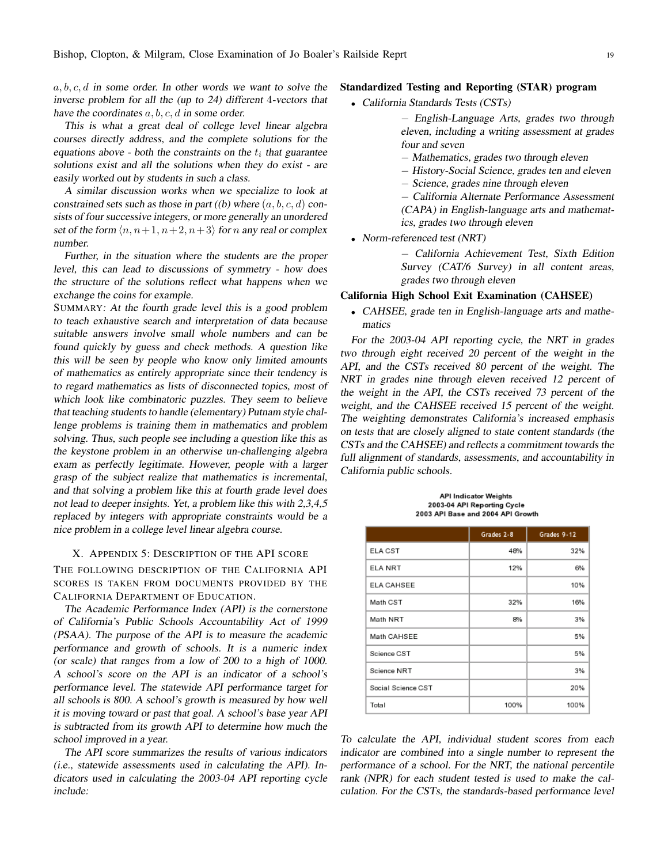*a, b, c, d* in some order. In other words we want to solve the inverse problem for all the (up to 24) different 4-vectors that have the coordinates *a, b, c, d* in some order.

This is what <sup>a</sup> great deal of college level linear algebra courses directly address, and the complete solutions for the equations above - both the constraints on the  $t_i$  that guarantee solutions exist and all the solutions when they do exist - are easily worked out by students in such <sup>a</sup> class.

<sup>A</sup> similar discussion works when we specialize to look at constrained sets such as those in part ((b) where (*a, b, c, d*) consists of four successive integers, or more generally an unordered set of the form  $\langle n, n+1, n+2, n+3 \rangle$  for *n* any real or complex number.

Further, in the situation where the students are the proper level, this can lead to discussions of symmetry - how does the structure of the solutions reflect what happens when we exchange the coins for example.

SUMMARY: At the fourth grade level this is <sup>a</sup> good problem to teach exhaustive search and interpretation of data because suitable answers involve small whole numbers and can be found quickly by guess and check methods. <sup>A</sup> question like this will be seen by people who know only limited amounts of mathematics as entirely appropriate since their tendency is to regard mathematics as lists of disconnected topics, most of which look like combinatoric puzzles. They seem to believe that teaching students to handle (elementary) Putnam style challenge problems is training them in mathematics and problem solving. Thus, such people see including <sup>a</sup> question like this as the keystone problem in an otherwise un-challenging algebra exam as perfectly legitimate. However, people with <sup>a</sup> larger grasp of the subject realize that mathematics is incremental, and that solving <sup>a</sup> problem like this at fourth grade level does not lead to deeper insights. Yet, <sup>a</sup> problem like this with 2,3,4,5 replaced by integers with appropriate constraints would be <sup>a</sup> nice problem in <sup>a</sup> college level linear algebra course.

#### X. APPENDIX 5: DESCRIPTION OF THE API SCORE

THE FOLLOWING DESCRIPTION OF THE CALIFORNIA API SCORES IS TAKEN FROM DOCUMENTS PROVIDED BY THE CALIFORNIA DEPARTMENT OF EDUCATION.

The Academic Performance Index (API) is the cornerstone of California's Public Schools Accountability Act of <sup>1999</sup> (PSAA). The purpose of the API is to measure the academic performance and growth of schools. It is <sup>a</sup> numeric index (or scale) that ranges from <sup>a</sup> low of <sup>200</sup> to <sup>a</sup> high of 1000. <sup>A</sup> school's score on the API is an indicator of <sup>a</sup> school's performance level. The statewide API performance target for all schools is 800. <sup>A</sup> school's growth is measured by how well it is moving toward or past that goal. <sup>A</sup> school's base year API is subtracted from its growth API to determine how much the school improved in <sup>a</sup> year.

The API score summarizes the results of various indicators (i.e., statewide assessments used in calculating the API). Indicators used in calculating the 2003-04 API reporting cycle include:

#### Standardized Testing and Reporting (STAR) program

*•* California Standards Tests (CSTs)

*−* English-Language Arts, grades two through eleven, including <sup>a</sup> writing assessment at grades four and seven

- *−* Mathematics, grades two through eleven
- *−* History-Social Science, grades ten and eleven
- *−* Science, grades nine through eleven

*−* California Alternate Performance Assessment (CAPA) in English-language arts and mathematics, grades two through eleven

*•* Norm-referenced test (NRT)

*−* California Achievement Test, Sixth Edition Survey (CAT/6 Survey) in all content areas, grades two through eleven

#### California High School Exit Examination (CAHSEE)

*•* CAHSEE, grade ten in English-language arts and mathematics

For the 2003-04 API reporting cycle, the NRT in grades two through eight received <sup>20</sup> percent of the weight in the API, and the CSTs received <sup>80</sup> percent of the weight. The NRT in grades nine through eleven received <sup>12</sup> percent of the weight in the API, the CSTs received <sup>73</sup> percent of the weight, and the CAHSEE received 15 percent of the weight. The weighting demonstrates California's increased emphasis on tests that are closely aligned to state content standards (the CSTs and the CAHSEE) and reflects <sup>a</sup> commitment towards the full alignment of standards, assessments, and accountability in California public schools.

**API Indicator Weights** 2003-04 API Reporting Cycle 2003 API Base and 2004 API Growth

|                    | Grades 2-8 | Grades 9-12 |
|--------------------|------------|-------------|
| <b>ELA CST</b>     | 48%        | 32%         |
| <b>ELA NRT</b>     | 12%        | 6%          |
| <b>ELA CAHSEE</b>  |            | 10%         |
| Math CST           | 32%        | 16%         |
| Math NRT           | 8%         | 3%          |
| Math CAHSEE        |            | 5%          |
| Science CST        |            | 5%          |
| Science NRT        |            | 3%          |
| Social Science CST |            | 20%         |
| Total              | 100%       | 100%        |

To calculate the API, individual student scores from each indicator are combined into <sup>a</sup> single number to represent the performance of <sup>a</sup> school. For the NRT, the national percentile rank (NPR) for each student tested is used to make the calculation. For the CSTs, the standards-based performance level